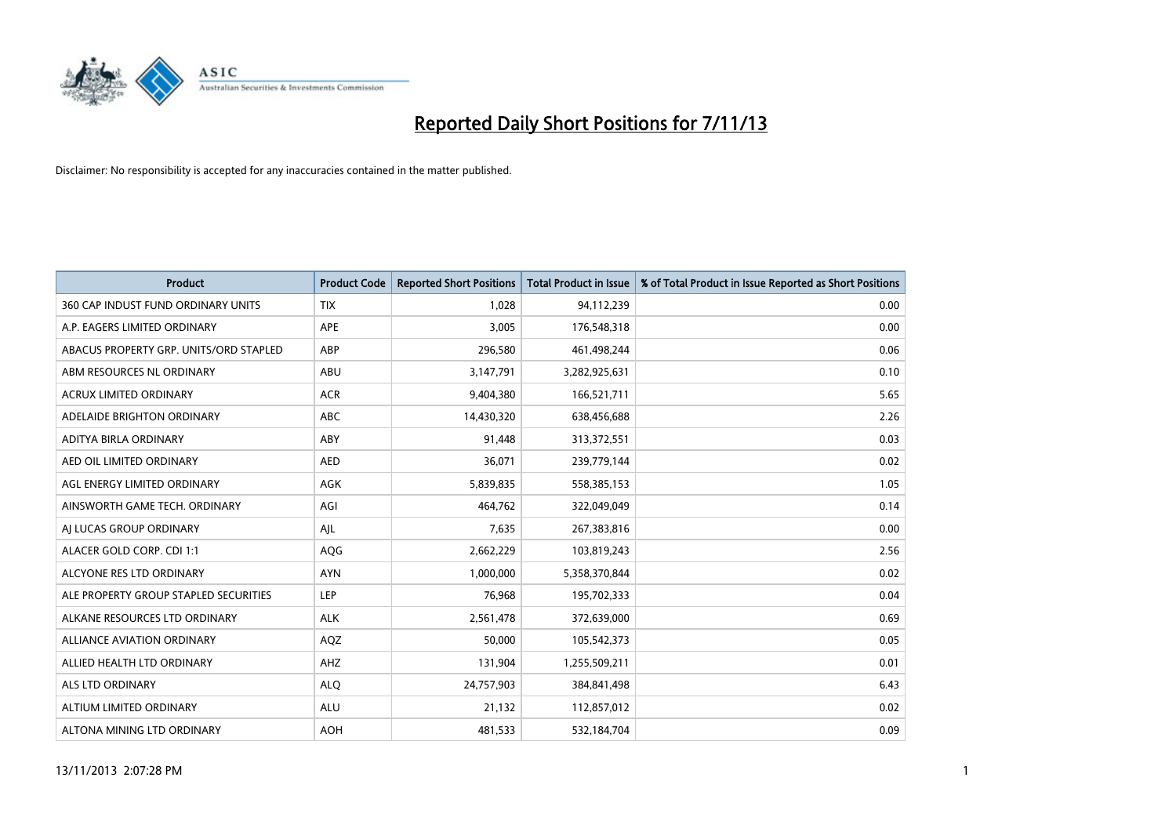

| <b>Product</b>                         | <b>Product Code</b> | <b>Reported Short Positions</b> | <b>Total Product in Issue</b> | % of Total Product in Issue Reported as Short Positions |
|----------------------------------------|---------------------|---------------------------------|-------------------------------|---------------------------------------------------------|
| 360 CAP INDUST FUND ORDINARY UNITS     | <b>TIX</b>          | 1,028                           | 94,112,239                    | 0.00                                                    |
| A.P. EAGERS LIMITED ORDINARY           | APE                 | 3,005                           | 176,548,318                   | 0.00                                                    |
| ABACUS PROPERTY GRP. UNITS/ORD STAPLED | ABP                 | 296,580                         | 461,498,244                   | 0.06                                                    |
| ABM RESOURCES NL ORDINARY              | ABU                 | 3,147,791                       | 3,282,925,631                 | 0.10                                                    |
| <b>ACRUX LIMITED ORDINARY</b>          | <b>ACR</b>          | 9,404,380                       | 166,521,711                   | 5.65                                                    |
| ADELAIDE BRIGHTON ORDINARY             | <b>ABC</b>          | 14,430,320                      | 638,456,688                   | 2.26                                                    |
| ADITYA BIRLA ORDINARY                  | ABY                 | 91,448                          | 313,372,551                   | 0.03                                                    |
| AED OIL LIMITED ORDINARY               | <b>AED</b>          | 36,071                          | 239,779,144                   | 0.02                                                    |
| AGL ENERGY LIMITED ORDINARY            | <b>AGK</b>          | 5,839,835                       | 558,385,153                   | 1.05                                                    |
| AINSWORTH GAME TECH. ORDINARY          | AGI                 | 464,762                         | 322,049,049                   | 0.14                                                    |
| AI LUCAS GROUP ORDINARY                | AJL                 | 7,635                           | 267,383,816                   | 0.00                                                    |
| ALACER GOLD CORP. CDI 1:1              | AQG                 | 2,662,229                       | 103,819,243                   | 2.56                                                    |
| ALCYONE RES LTD ORDINARY               | <b>AYN</b>          | 1,000,000                       | 5,358,370,844                 | 0.02                                                    |
| ALE PROPERTY GROUP STAPLED SECURITIES  | LEP                 | 76,968                          | 195,702,333                   | 0.04                                                    |
| ALKANE RESOURCES LTD ORDINARY          | <b>ALK</b>          | 2,561,478                       | 372,639,000                   | 0.69                                                    |
| ALLIANCE AVIATION ORDINARY             | AQZ                 | 50,000                          | 105,542,373                   | 0.05                                                    |
| ALLIED HEALTH LTD ORDINARY             | AHZ                 | 131,904                         | 1,255,509,211                 | 0.01                                                    |
| <b>ALS LTD ORDINARY</b>                | <b>ALQ</b>          | 24,757,903                      | 384, 841, 498                 | 6.43                                                    |
| ALTIUM LIMITED ORDINARY                | <b>ALU</b>          | 21,132                          | 112,857,012                   | 0.02                                                    |
| ALTONA MINING LTD ORDINARY             | <b>AOH</b>          | 481,533                         | 532,184,704                   | 0.09                                                    |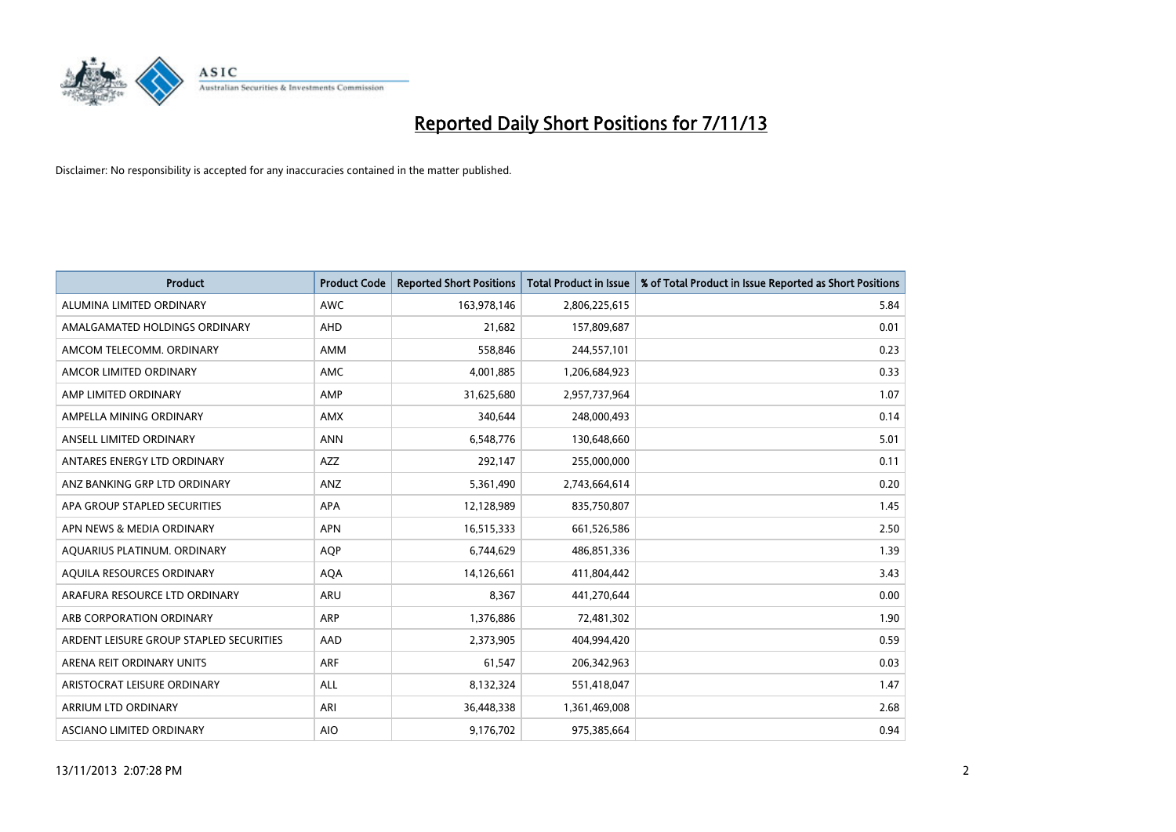

| <b>Product</b>                          | <b>Product Code</b> | <b>Reported Short Positions</b> | <b>Total Product in Issue</b> | % of Total Product in Issue Reported as Short Positions |
|-----------------------------------------|---------------------|---------------------------------|-------------------------------|---------------------------------------------------------|
| ALUMINA LIMITED ORDINARY                | <b>AWC</b>          | 163,978,146                     | 2,806,225,615                 | 5.84                                                    |
| AMALGAMATED HOLDINGS ORDINARY           | AHD                 | 21,682                          | 157,809,687                   | 0.01                                                    |
| AMCOM TELECOMM. ORDINARY                | AMM                 | 558,846                         | 244,557,101                   | 0.23                                                    |
| AMCOR LIMITED ORDINARY                  | AMC                 | 4,001,885                       | 1,206,684,923                 | 0.33                                                    |
| AMP LIMITED ORDINARY                    | AMP                 | 31,625,680                      | 2,957,737,964                 | 1.07                                                    |
| AMPELLA MINING ORDINARY                 | <b>AMX</b>          | 340,644                         | 248,000,493                   | 0.14                                                    |
| ANSELL LIMITED ORDINARY                 | <b>ANN</b>          | 6,548,776                       | 130,648,660                   | 5.01                                                    |
| ANTARES ENERGY LTD ORDINARY             | AZZ                 | 292,147                         | 255,000,000                   | 0.11                                                    |
| ANZ BANKING GRP LTD ORDINARY            | ANZ                 | 5,361,490                       | 2,743,664,614                 | 0.20                                                    |
| APA GROUP STAPLED SECURITIES            | <b>APA</b>          | 12,128,989                      | 835,750,807                   | 1.45                                                    |
| APN NEWS & MEDIA ORDINARY               | <b>APN</b>          | 16,515,333                      | 661,526,586                   | 2.50                                                    |
| AQUARIUS PLATINUM. ORDINARY             | <b>AOP</b>          | 6,744,629                       | 486,851,336                   | 1.39                                                    |
| AQUILA RESOURCES ORDINARY               | <b>AQA</b>          | 14,126,661                      | 411,804,442                   | 3.43                                                    |
| ARAFURA RESOURCE LTD ORDINARY           | <b>ARU</b>          | 8,367                           | 441,270,644                   | 0.00                                                    |
| ARB CORPORATION ORDINARY                | <b>ARP</b>          | 1,376,886                       | 72,481,302                    | 1.90                                                    |
| ARDENT LEISURE GROUP STAPLED SECURITIES | AAD                 | 2,373,905                       | 404,994,420                   | 0.59                                                    |
| ARENA REIT ORDINARY UNITS               | <b>ARF</b>          | 61,547                          | 206,342,963                   | 0.03                                                    |
| ARISTOCRAT LEISURE ORDINARY             | ALL                 | 8,132,324                       | 551,418,047                   | 1.47                                                    |
| ARRIUM LTD ORDINARY                     | ARI                 | 36,448,338                      | 1,361,469,008                 | 2.68                                                    |
| ASCIANO LIMITED ORDINARY                | <b>AIO</b>          | 9,176,702                       | 975,385,664                   | 0.94                                                    |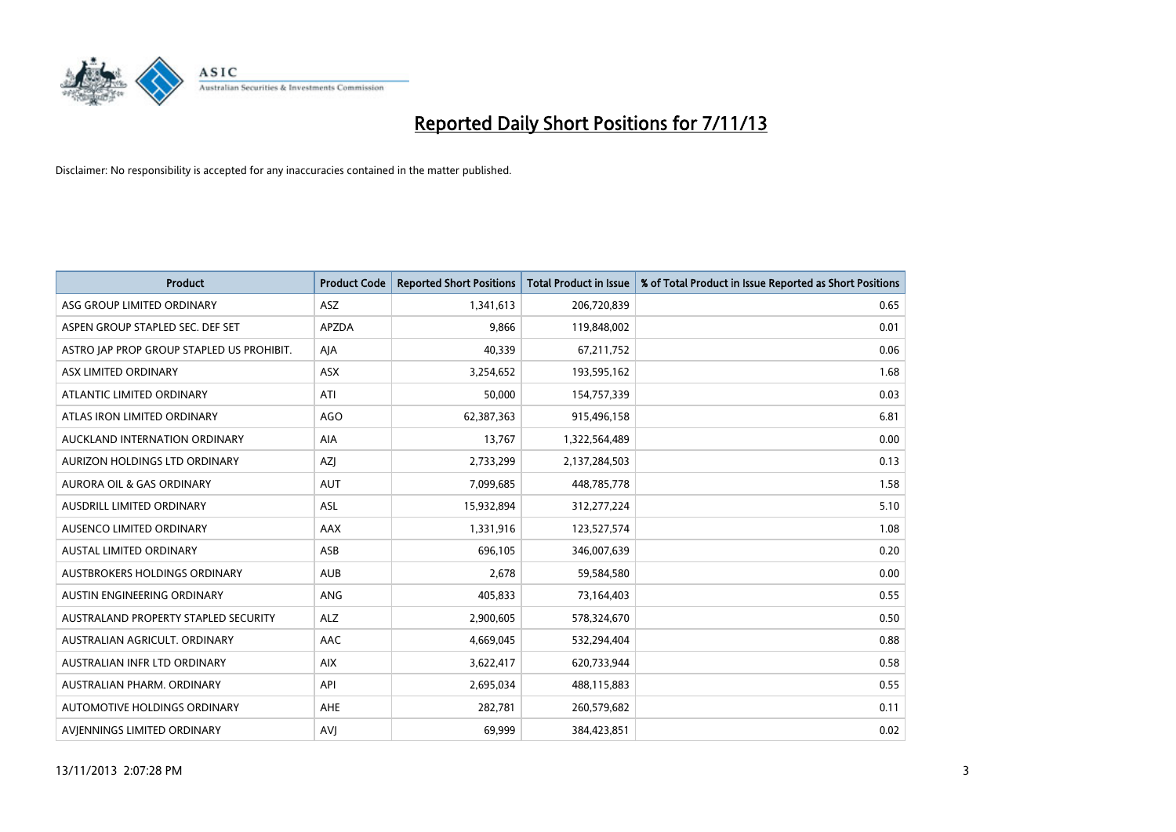

| <b>Product</b>                            | <b>Product Code</b> | <b>Reported Short Positions</b> | <b>Total Product in Issue</b> | % of Total Product in Issue Reported as Short Positions |
|-------------------------------------------|---------------------|---------------------------------|-------------------------------|---------------------------------------------------------|
| ASG GROUP LIMITED ORDINARY                | <b>ASZ</b>          | 1,341,613                       | 206,720,839                   | 0.65                                                    |
| ASPEN GROUP STAPLED SEC. DEF SET          | <b>APZDA</b>        | 9,866                           | 119,848,002                   | 0.01                                                    |
| ASTRO JAP PROP GROUP STAPLED US PROHIBIT. | AJA                 | 40,339                          | 67,211,752                    | 0.06                                                    |
| ASX LIMITED ORDINARY                      | ASX                 | 3,254,652                       | 193,595,162                   | 1.68                                                    |
| ATLANTIC LIMITED ORDINARY                 | ATI                 | 50,000                          | 154,757,339                   | 0.03                                                    |
| ATLAS IRON LIMITED ORDINARY               | <b>AGO</b>          | 62,387,363                      | 915,496,158                   | 6.81                                                    |
| AUCKLAND INTERNATION ORDINARY             | AIA                 | 13,767                          | 1,322,564,489                 | 0.00                                                    |
| AURIZON HOLDINGS LTD ORDINARY             | AZJ                 | 2,733,299                       | 2,137,284,503                 | 0.13                                                    |
| <b>AURORA OIL &amp; GAS ORDINARY</b>      | <b>AUT</b>          | 7,099,685                       | 448,785,778                   | 1.58                                                    |
| AUSDRILL LIMITED ORDINARY                 | ASL                 | 15,932,894                      | 312,277,224                   | 5.10                                                    |
| AUSENCO LIMITED ORDINARY                  | AAX                 | 1,331,916                       | 123,527,574                   | 1.08                                                    |
| <b>AUSTAL LIMITED ORDINARY</b>            | ASB                 | 696,105                         | 346,007,639                   | 0.20                                                    |
| AUSTBROKERS HOLDINGS ORDINARY             | <b>AUB</b>          | 2,678                           | 59,584,580                    | 0.00                                                    |
| AUSTIN ENGINEERING ORDINARY               | ANG                 | 405,833                         | 73,164,403                    | 0.55                                                    |
| AUSTRALAND PROPERTY STAPLED SECURITY      | <b>ALZ</b>          | 2,900,605                       | 578,324,670                   | 0.50                                                    |
| AUSTRALIAN AGRICULT. ORDINARY             | AAC                 | 4,669,045                       | 532,294,404                   | 0.88                                                    |
| AUSTRALIAN INFR LTD ORDINARY              | <b>AIX</b>          | 3,622,417                       | 620,733,944                   | 0.58                                                    |
| AUSTRALIAN PHARM, ORDINARY                | API                 | 2,695,034                       | 488,115,883                   | 0.55                                                    |
| AUTOMOTIVE HOLDINGS ORDINARY              | <b>AHE</b>          | 282,781                         | 260,579,682                   | 0.11                                                    |
| AVIENNINGS LIMITED ORDINARY               | <b>AVJ</b>          | 69,999                          | 384,423,851                   | 0.02                                                    |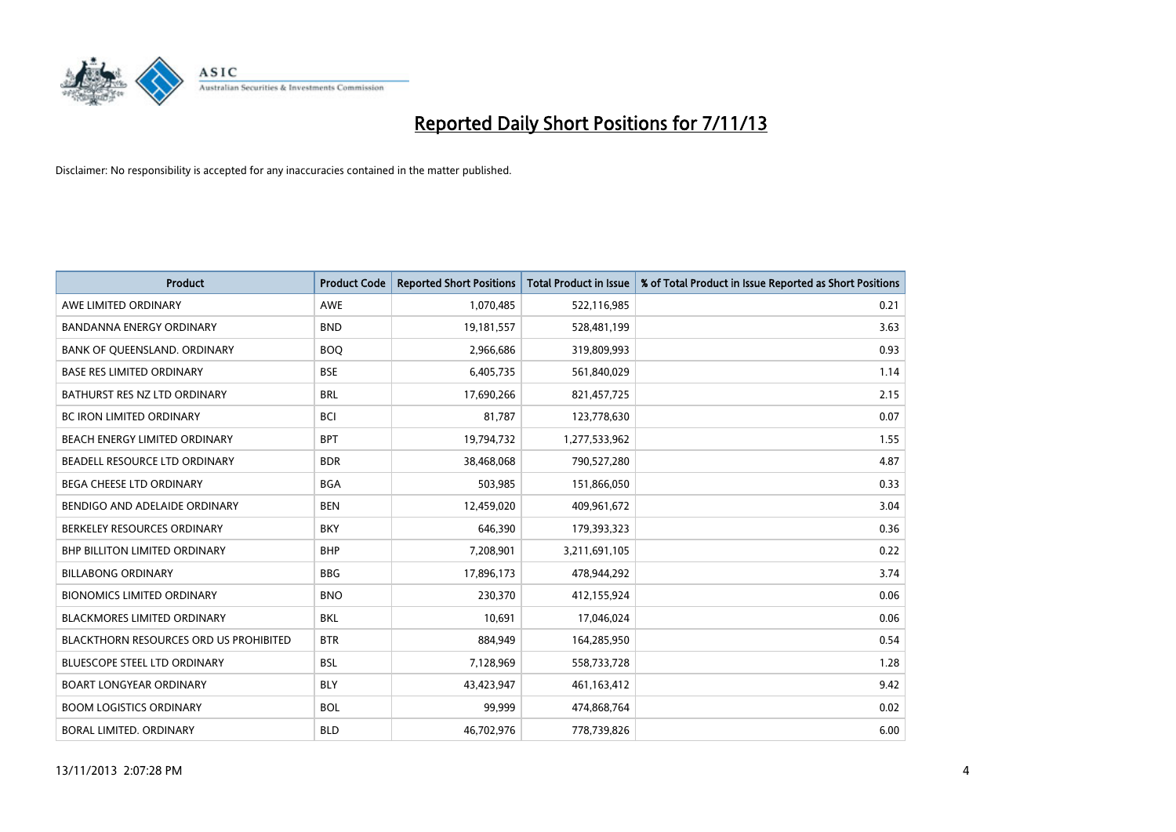

| <b>Product</b>                                | <b>Product Code</b> | <b>Reported Short Positions</b> | <b>Total Product in Issue</b> | % of Total Product in Issue Reported as Short Positions |
|-----------------------------------------------|---------------------|---------------------------------|-------------------------------|---------------------------------------------------------|
| AWE LIMITED ORDINARY                          | <b>AWE</b>          | 1,070,485                       | 522,116,985                   | 0.21                                                    |
| <b>BANDANNA ENERGY ORDINARY</b>               | <b>BND</b>          | 19,181,557                      | 528,481,199                   | 3.63                                                    |
| BANK OF QUEENSLAND. ORDINARY                  | <b>BOQ</b>          | 2,966,686                       | 319,809,993                   | 0.93                                                    |
| <b>BASE RES LIMITED ORDINARY</b>              | <b>BSE</b>          | 6,405,735                       | 561,840,029                   | 1.14                                                    |
| BATHURST RES NZ LTD ORDINARY                  | <b>BRL</b>          | 17,690,266                      | 821,457,725                   | 2.15                                                    |
| <b>BC IRON LIMITED ORDINARY</b>               | <b>BCI</b>          | 81,787                          | 123,778,630                   | 0.07                                                    |
| BEACH ENERGY LIMITED ORDINARY                 | <b>BPT</b>          | 19,794,732                      | 1,277,533,962                 | 1.55                                                    |
| BEADELL RESOURCE LTD ORDINARY                 | <b>BDR</b>          | 38,468,068                      | 790,527,280                   | 4.87                                                    |
| BEGA CHEESE LTD ORDINARY                      | <b>BGA</b>          | 503,985                         | 151,866,050                   | 0.33                                                    |
| BENDIGO AND ADELAIDE ORDINARY                 | <b>BEN</b>          | 12,459,020                      | 409,961,672                   | 3.04                                                    |
| BERKELEY RESOURCES ORDINARY                   | <b>BKY</b>          | 646,390                         | 179,393,323                   | 0.36                                                    |
| <b>BHP BILLITON LIMITED ORDINARY</b>          | <b>BHP</b>          | 7,208,901                       | 3,211,691,105                 | 0.22                                                    |
| <b>BILLABONG ORDINARY</b>                     | <b>BBG</b>          | 17,896,173                      | 478,944,292                   | 3.74                                                    |
| <b>BIONOMICS LIMITED ORDINARY</b>             | <b>BNO</b>          | 230,370                         | 412,155,924                   | 0.06                                                    |
| <b>BLACKMORES LIMITED ORDINARY</b>            | <b>BKL</b>          | 10,691                          | 17,046,024                    | 0.06                                                    |
| <b>BLACKTHORN RESOURCES ORD US PROHIBITED</b> | <b>BTR</b>          | 884,949                         | 164,285,950                   | 0.54                                                    |
| <b>BLUESCOPE STEEL LTD ORDINARY</b>           | <b>BSL</b>          | 7,128,969                       | 558,733,728                   | 1.28                                                    |
| BOART LONGYEAR ORDINARY                       | <b>BLY</b>          | 43,423,947                      | 461,163,412                   | 9.42                                                    |
| <b>BOOM LOGISTICS ORDINARY</b>                | <b>BOL</b>          | 99,999                          | 474,868,764                   | 0.02                                                    |
| BORAL LIMITED, ORDINARY                       | <b>BLD</b>          | 46,702,976                      | 778,739,826                   | 6.00                                                    |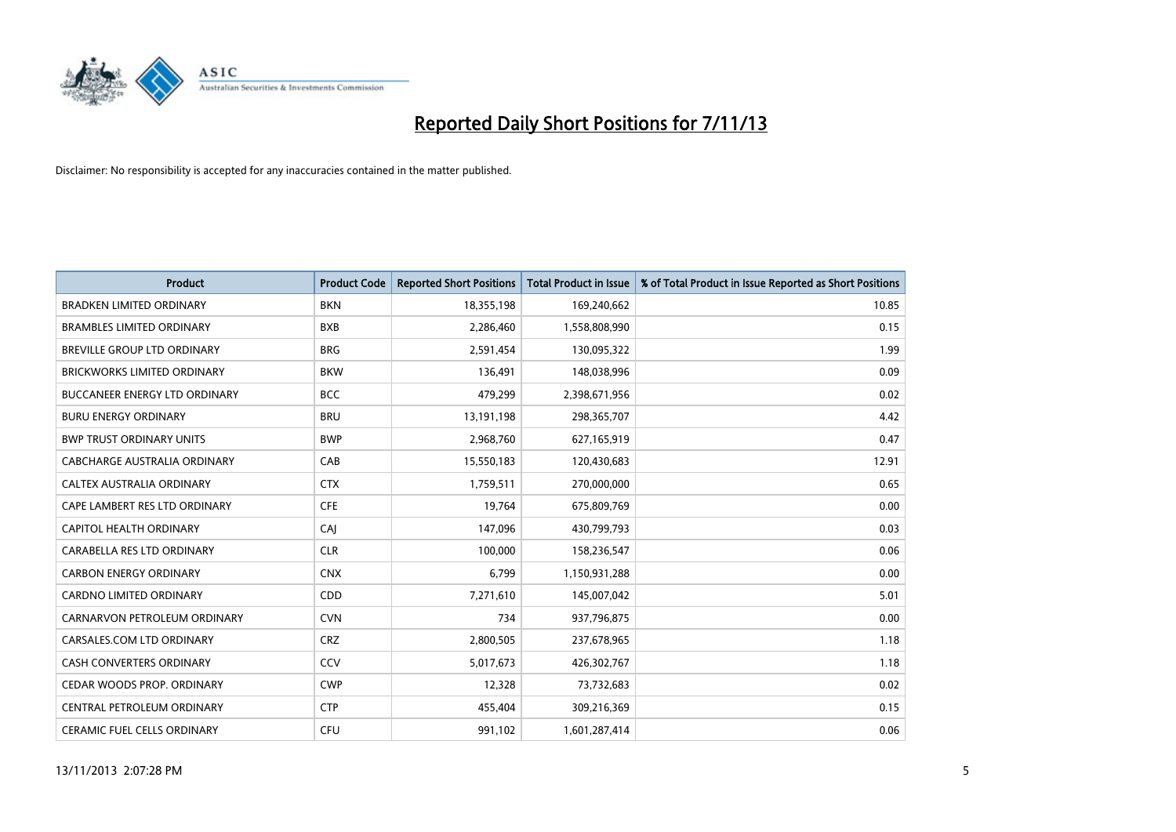

| <b>Product</b>                       | <b>Product Code</b> | <b>Reported Short Positions</b> | <b>Total Product in Issue</b> | % of Total Product in Issue Reported as Short Positions |
|--------------------------------------|---------------------|---------------------------------|-------------------------------|---------------------------------------------------------|
| <b>BRADKEN LIMITED ORDINARY</b>      | <b>BKN</b>          | 18,355,198                      | 169,240,662                   | 10.85                                                   |
| <b>BRAMBLES LIMITED ORDINARY</b>     | <b>BXB</b>          | 2,286,460                       | 1,558,808,990                 | 0.15                                                    |
| <b>BREVILLE GROUP LTD ORDINARY</b>   | <b>BRG</b>          | 2,591,454                       | 130,095,322                   | 1.99                                                    |
| <b>BRICKWORKS LIMITED ORDINARY</b>   | <b>BKW</b>          | 136,491                         | 148,038,996                   | 0.09                                                    |
| <b>BUCCANEER ENERGY LTD ORDINARY</b> | <b>BCC</b>          | 479,299                         | 2,398,671,956                 | 0.02                                                    |
| <b>BURU ENERGY ORDINARY</b>          | <b>BRU</b>          | 13,191,198                      | 298,365,707                   | 4.42                                                    |
| <b>BWP TRUST ORDINARY UNITS</b>      | <b>BWP</b>          | 2,968,760                       | 627,165,919                   | 0.47                                                    |
| <b>CABCHARGE AUSTRALIA ORDINARY</b>  | CAB                 | 15,550,183                      | 120,430,683                   | 12.91                                                   |
| CALTEX AUSTRALIA ORDINARY            | <b>CTX</b>          | 1,759,511                       | 270,000,000                   | 0.65                                                    |
| CAPE LAMBERT RES LTD ORDINARY        | <b>CFE</b>          | 19,764                          | 675,809,769                   | 0.00                                                    |
| <b>CAPITOL HEALTH ORDINARY</b>       | CAJ                 | 147,096                         | 430,799,793                   | 0.03                                                    |
| CARABELLA RES LTD ORDINARY           | <b>CLR</b>          | 100,000                         | 158,236,547                   | 0.06                                                    |
| <b>CARBON ENERGY ORDINARY</b>        | <b>CNX</b>          | 6.799                           | 1,150,931,288                 | 0.00                                                    |
| <b>CARDNO LIMITED ORDINARY</b>       | CDD                 | 7,271,610                       | 145,007,042                   | 5.01                                                    |
| CARNARVON PETROLEUM ORDINARY         | <b>CVN</b>          | 734                             | 937,796,875                   | 0.00                                                    |
| CARSALES.COM LTD ORDINARY            | <b>CRZ</b>          | 2,800,505                       | 237,678,965                   | 1.18                                                    |
| <b>CASH CONVERTERS ORDINARY</b>      | CCV                 | 5,017,673                       | 426,302,767                   | 1.18                                                    |
| CEDAR WOODS PROP. ORDINARY           | <b>CWP</b>          | 12,328                          | 73,732,683                    | 0.02                                                    |
| CENTRAL PETROLEUM ORDINARY           | <b>CTP</b>          | 455,404                         | 309,216,369                   | 0.15                                                    |
| <b>CERAMIC FUEL CELLS ORDINARY</b>   | <b>CFU</b>          | 991,102                         | 1,601,287,414                 | 0.06                                                    |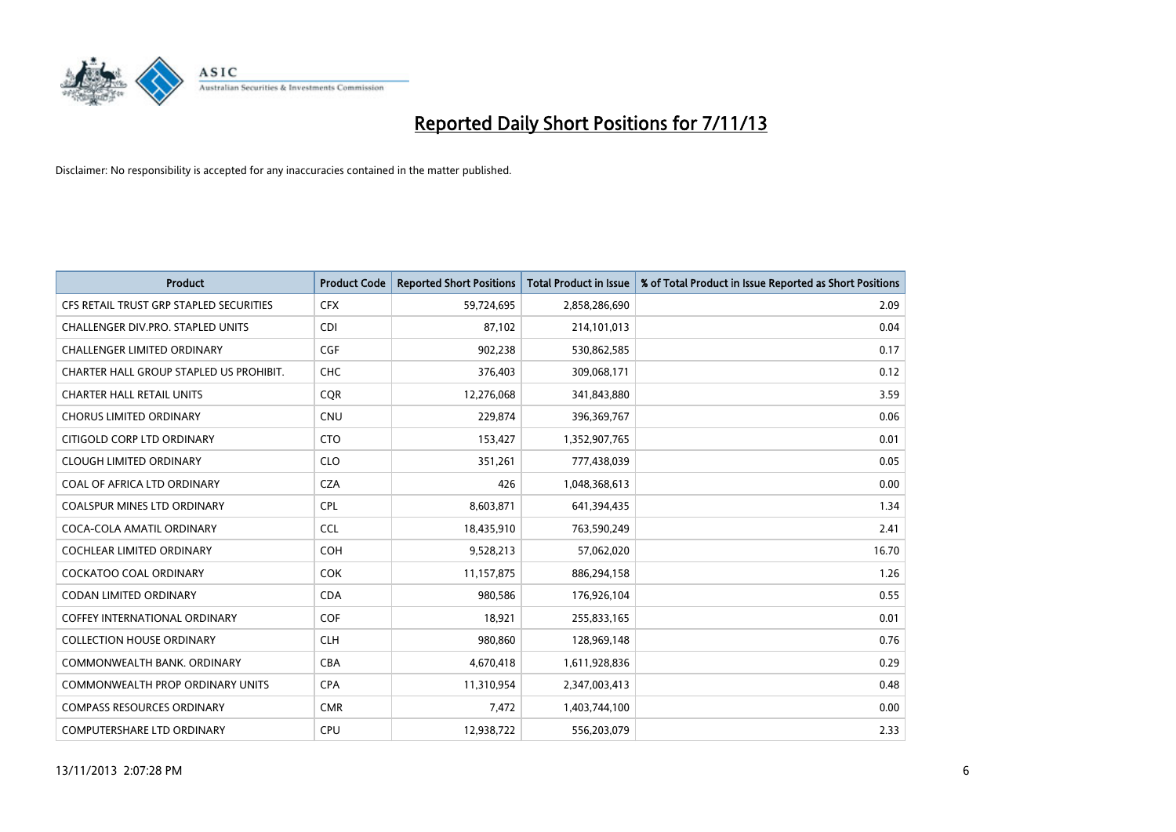

| <b>Product</b>                          | <b>Product Code</b> | <b>Reported Short Positions</b> | <b>Total Product in Issue</b> | % of Total Product in Issue Reported as Short Positions |
|-----------------------------------------|---------------------|---------------------------------|-------------------------------|---------------------------------------------------------|
| CFS RETAIL TRUST GRP STAPLED SECURITIES | <b>CFX</b>          | 59,724,695                      | 2,858,286,690                 | 2.09                                                    |
| CHALLENGER DIV.PRO. STAPLED UNITS       | <b>CDI</b>          | 87.102                          | 214,101,013                   | 0.04                                                    |
| <b>CHALLENGER LIMITED ORDINARY</b>      | <b>CGF</b>          | 902,238                         | 530,862,585                   | 0.17                                                    |
| CHARTER HALL GROUP STAPLED US PROHIBIT. | <b>CHC</b>          | 376,403                         | 309,068,171                   | 0.12                                                    |
| <b>CHARTER HALL RETAIL UNITS</b>        | <b>COR</b>          | 12,276,068                      | 341,843,880                   | 3.59                                                    |
| <b>CHORUS LIMITED ORDINARY</b>          | <b>CNU</b>          | 229,874                         | 396,369,767                   | 0.06                                                    |
| CITIGOLD CORP LTD ORDINARY              | <b>CTO</b>          | 153,427                         | 1,352,907,765                 | 0.01                                                    |
| <b>CLOUGH LIMITED ORDINARY</b>          | <b>CLO</b>          | 351,261                         | 777,438,039                   | 0.05                                                    |
| COAL OF AFRICA LTD ORDINARY             | <b>CZA</b>          | 426                             | 1,048,368,613                 | 0.00                                                    |
| <b>COALSPUR MINES LTD ORDINARY</b>      | <b>CPL</b>          | 8,603,871                       | 641,394,435                   | 1.34                                                    |
| COCA-COLA AMATIL ORDINARY               | <b>CCL</b>          | 18,435,910                      | 763,590,249                   | 2.41                                                    |
| <b>COCHLEAR LIMITED ORDINARY</b>        | <b>COH</b>          | 9,528,213                       | 57,062,020                    | 16.70                                                   |
| <b>COCKATOO COAL ORDINARY</b>           | <b>COK</b>          | 11,157,875                      | 886,294,158                   | 1.26                                                    |
| <b>CODAN LIMITED ORDINARY</b>           | <b>CDA</b>          | 980.586                         | 176,926,104                   | 0.55                                                    |
| <b>COFFEY INTERNATIONAL ORDINARY</b>    | <b>COF</b>          | 18,921                          | 255,833,165                   | 0.01                                                    |
| <b>COLLECTION HOUSE ORDINARY</b>        | <b>CLH</b>          | 980,860                         | 128,969,148                   | 0.76                                                    |
| COMMONWEALTH BANK, ORDINARY             | <b>CBA</b>          | 4,670,418                       | 1,611,928,836                 | 0.29                                                    |
| COMMONWEALTH PROP ORDINARY UNITS        | <b>CPA</b>          | 11,310,954                      | 2,347,003,413                 | 0.48                                                    |
| <b>COMPASS RESOURCES ORDINARY</b>       | <b>CMR</b>          | 7,472                           | 1,403,744,100                 | 0.00                                                    |
| <b>COMPUTERSHARE LTD ORDINARY</b>       | <b>CPU</b>          | 12,938,722                      | 556,203,079                   | 2.33                                                    |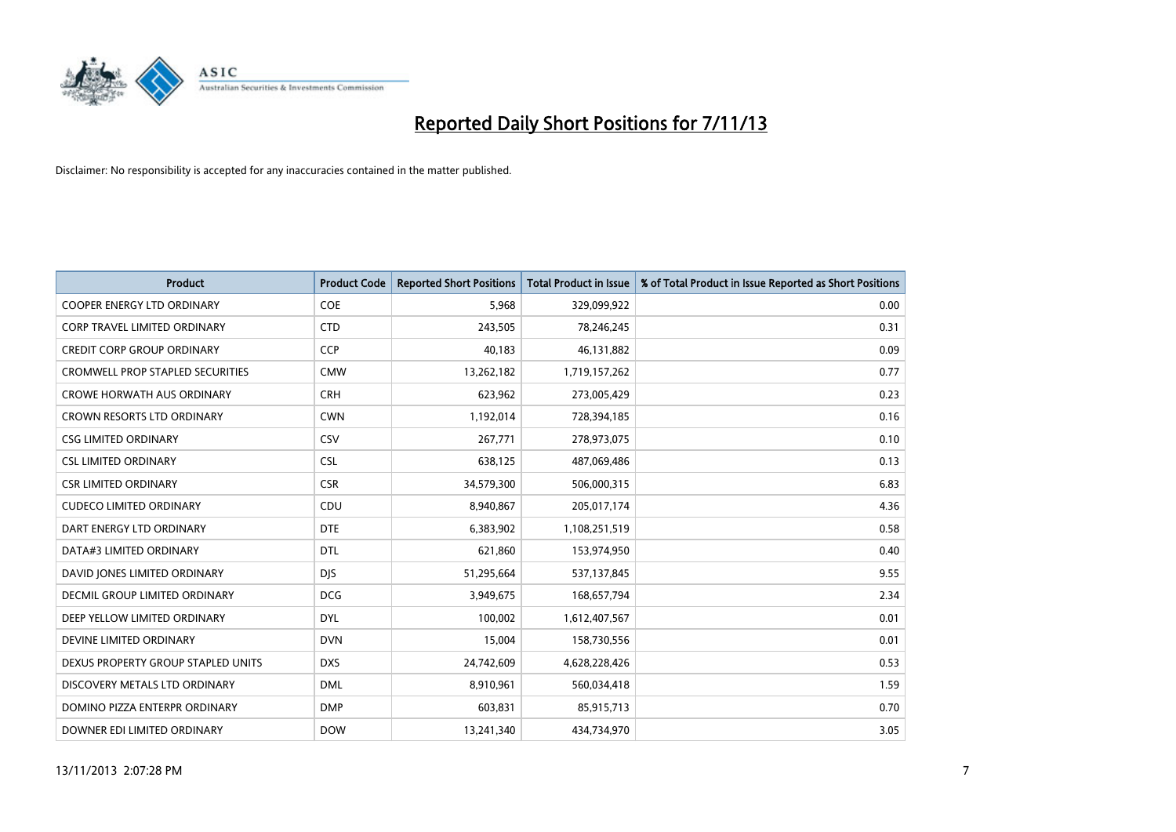

| <b>Product</b>                          | <b>Product Code</b> | <b>Reported Short Positions</b> | <b>Total Product in Issue</b> | % of Total Product in Issue Reported as Short Positions |
|-----------------------------------------|---------------------|---------------------------------|-------------------------------|---------------------------------------------------------|
| <b>COOPER ENERGY LTD ORDINARY</b>       | <b>COE</b>          | 5,968                           | 329,099,922                   | 0.00                                                    |
| <b>CORP TRAVEL LIMITED ORDINARY</b>     | <b>CTD</b>          | 243,505                         | 78,246,245                    | 0.31                                                    |
| <b>CREDIT CORP GROUP ORDINARY</b>       | <b>CCP</b>          | 40,183                          | 46,131,882                    | 0.09                                                    |
| <b>CROMWELL PROP STAPLED SECURITIES</b> | <b>CMW</b>          | 13,262,182                      | 1,719,157,262                 | 0.77                                                    |
| <b>CROWE HORWATH AUS ORDINARY</b>       | <b>CRH</b>          | 623,962                         | 273,005,429                   | 0.23                                                    |
| <b>CROWN RESORTS LTD ORDINARY</b>       | <b>CWN</b>          | 1,192,014                       | 728,394,185                   | 0.16                                                    |
| <b>CSG LIMITED ORDINARY</b>             | <b>CSV</b>          | 267,771                         | 278,973,075                   | 0.10                                                    |
| <b>CSL LIMITED ORDINARY</b>             | <b>CSL</b>          | 638,125                         | 487,069,486                   | 0.13                                                    |
| <b>CSR LIMITED ORDINARY</b>             | <b>CSR</b>          | 34,579,300                      | 506,000,315                   | 6.83                                                    |
| <b>CUDECO LIMITED ORDINARY</b>          | CDU                 | 8,940,867                       | 205,017,174                   | 4.36                                                    |
| DART ENERGY LTD ORDINARY                | <b>DTE</b>          | 6,383,902                       | 1,108,251,519                 | 0.58                                                    |
| DATA#3 LIMITED ORDINARY                 | <b>DTL</b>          | 621,860                         | 153,974,950                   | 0.40                                                    |
| DAVID JONES LIMITED ORDINARY            | <b>DJS</b>          | 51,295,664                      | 537,137,845                   | 9.55                                                    |
| <b>DECMIL GROUP LIMITED ORDINARY</b>    | <b>DCG</b>          | 3,949,675                       | 168,657,794                   | 2.34                                                    |
| DEEP YELLOW LIMITED ORDINARY            | <b>DYL</b>          | 100,002                         | 1,612,407,567                 | 0.01                                                    |
| DEVINE LIMITED ORDINARY                 | <b>DVN</b>          | 15,004                          | 158,730,556                   | 0.01                                                    |
| DEXUS PROPERTY GROUP STAPLED UNITS      | <b>DXS</b>          | 24,742,609                      | 4,628,228,426                 | 0.53                                                    |
| DISCOVERY METALS LTD ORDINARY           | <b>DML</b>          | 8,910,961                       | 560,034,418                   | 1.59                                                    |
| DOMINO PIZZA ENTERPR ORDINARY           | <b>DMP</b>          | 603,831                         | 85,915,713                    | 0.70                                                    |
| DOWNER EDI LIMITED ORDINARY             | <b>DOW</b>          | 13,241,340                      | 434,734,970                   | 3.05                                                    |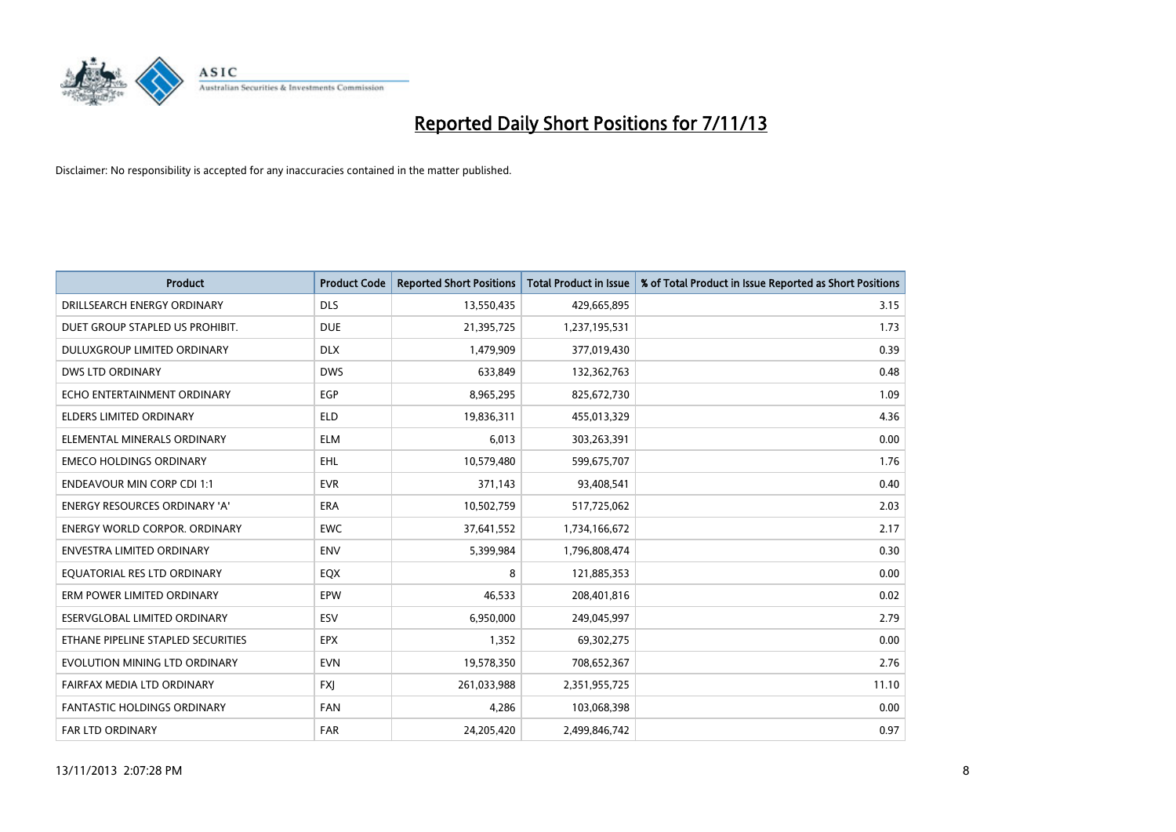

| <b>Product</b>                       | <b>Product Code</b> | <b>Reported Short Positions</b> | <b>Total Product in Issue</b> | % of Total Product in Issue Reported as Short Positions |
|--------------------------------------|---------------------|---------------------------------|-------------------------------|---------------------------------------------------------|
| DRILLSEARCH ENERGY ORDINARY          | <b>DLS</b>          | 13,550,435                      | 429,665,895                   | 3.15                                                    |
| DUET GROUP STAPLED US PROHIBIT.      | <b>DUE</b>          | 21,395,725                      | 1,237,195,531                 | 1.73                                                    |
| <b>DULUXGROUP LIMITED ORDINARY</b>   | <b>DLX</b>          | 1,479,909                       | 377,019,430                   | 0.39                                                    |
| <b>DWS LTD ORDINARY</b>              | <b>DWS</b>          | 633,849                         | 132,362,763                   | 0.48                                                    |
| ECHO ENTERTAINMENT ORDINARY          | <b>EGP</b>          | 8,965,295                       | 825,672,730                   | 1.09                                                    |
| <b>ELDERS LIMITED ORDINARY</b>       | <b>ELD</b>          | 19,836,311                      | 455,013,329                   | 4.36                                                    |
| ELEMENTAL MINERALS ORDINARY          | ELM                 | 6,013                           | 303,263,391                   | 0.00                                                    |
| <b>EMECO HOLDINGS ORDINARY</b>       | <b>EHL</b>          | 10,579,480                      | 599,675,707                   | 1.76                                                    |
| <b>ENDEAVOUR MIN CORP CDI 1:1</b>    | <b>EVR</b>          | 371,143                         | 93,408,541                    | 0.40                                                    |
| <b>ENERGY RESOURCES ORDINARY 'A'</b> | <b>ERA</b>          | 10,502,759                      | 517,725,062                   | 2.03                                                    |
| <b>ENERGY WORLD CORPOR. ORDINARY</b> | EWC                 | 37,641,552                      | 1,734,166,672                 | 2.17                                                    |
| <b>ENVESTRA LIMITED ORDINARY</b>     | <b>ENV</b>          | 5,399,984                       | 1,796,808,474                 | 0.30                                                    |
| EQUATORIAL RES LTD ORDINARY          | EQX                 | 8                               | 121,885,353                   | 0.00                                                    |
| ERM POWER LIMITED ORDINARY           | EPW                 | 46,533                          | 208,401,816                   | 0.02                                                    |
| ESERVGLOBAL LIMITED ORDINARY         | ESV                 | 6,950,000                       | 249,045,997                   | 2.79                                                    |
| ETHANE PIPELINE STAPLED SECURITIES   | <b>EPX</b>          | 1,352                           | 69,302,275                    | 0.00                                                    |
| EVOLUTION MINING LTD ORDINARY        | <b>EVN</b>          | 19,578,350                      | 708,652,367                   | 2.76                                                    |
| FAIRFAX MEDIA LTD ORDINARY           | FXJ                 | 261,033,988                     | 2,351,955,725                 | 11.10                                                   |
| <b>FANTASTIC HOLDINGS ORDINARY</b>   | <b>FAN</b>          | 4,286                           | 103,068,398                   | 0.00                                                    |
| FAR LTD ORDINARY                     | FAR                 | 24,205,420                      | 2,499,846,742                 | 0.97                                                    |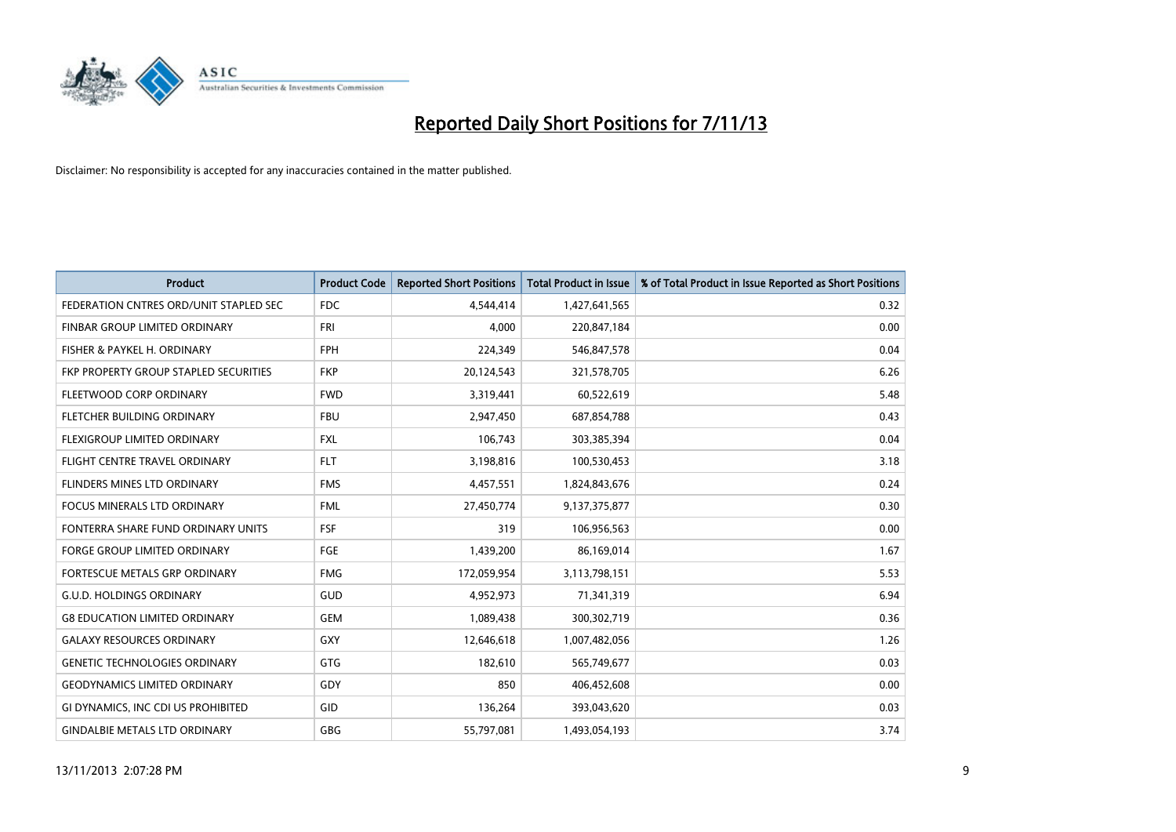

| <b>Product</b>                         | <b>Product Code</b> | <b>Reported Short Positions</b> | <b>Total Product in Issue</b> | % of Total Product in Issue Reported as Short Positions |
|----------------------------------------|---------------------|---------------------------------|-------------------------------|---------------------------------------------------------|
| FEDERATION CNTRES ORD/UNIT STAPLED SEC | FDC                 | 4,544,414                       | 1,427,641,565                 | 0.32                                                    |
| FINBAR GROUP LIMITED ORDINARY          | FRI                 | 4,000                           | 220,847,184                   | 0.00                                                    |
| FISHER & PAYKEL H. ORDINARY            | <b>FPH</b>          | 224,349                         | 546,847,578                   | 0.04                                                    |
| FKP PROPERTY GROUP STAPLED SECURITIES  | <b>FKP</b>          | 20,124,543                      | 321,578,705                   | 6.26                                                    |
| FLEETWOOD CORP ORDINARY                | <b>FWD</b>          | 3,319,441                       | 60,522,619                    | 5.48                                                    |
| FLETCHER BUILDING ORDINARY             | <b>FBU</b>          | 2,947,450                       | 687,854,788                   | 0.43                                                    |
| <b>FLEXIGROUP LIMITED ORDINARY</b>     | <b>FXL</b>          | 106,743                         | 303,385,394                   | 0.04                                                    |
| FLIGHT CENTRE TRAVEL ORDINARY          | <b>FLT</b>          | 3,198,816                       | 100,530,453                   | 3.18                                                    |
| FLINDERS MINES LTD ORDINARY            | <b>FMS</b>          | 4,457,551                       | 1,824,843,676                 | 0.24                                                    |
| <b>FOCUS MINERALS LTD ORDINARY</b>     | <b>FML</b>          | 27,450,774                      | 9,137,375,877                 | 0.30                                                    |
| FONTERRA SHARE FUND ORDINARY UNITS     | <b>FSF</b>          | 319                             | 106,956,563                   | 0.00                                                    |
| <b>FORGE GROUP LIMITED ORDINARY</b>    | <b>FGE</b>          | 1,439,200                       | 86,169,014                    | 1.67                                                    |
| FORTESCUE METALS GRP ORDINARY          | <b>FMG</b>          | 172,059,954                     | 3,113,798,151                 | 5.53                                                    |
| <b>G.U.D. HOLDINGS ORDINARY</b>        | GUD                 | 4,952,973                       | 71,341,319                    | 6.94                                                    |
| <b>G8 EDUCATION LIMITED ORDINARY</b>   | <b>GEM</b>          | 1,089,438                       | 300,302,719                   | 0.36                                                    |
| <b>GALAXY RESOURCES ORDINARY</b>       | GXY                 | 12,646,618                      | 1,007,482,056                 | 1.26                                                    |
| <b>GENETIC TECHNOLOGIES ORDINARY</b>   | GTG                 | 182,610                         | 565,749,677                   | 0.03                                                    |
| <b>GEODYNAMICS LIMITED ORDINARY</b>    | GDY                 | 850                             | 406,452,608                   | 0.00                                                    |
| GI DYNAMICS, INC CDI US PROHIBITED     | GID                 | 136,264                         | 393,043,620                   | 0.03                                                    |
| <b>GINDALBIE METALS LTD ORDINARY</b>   | GBG                 | 55,797,081                      | 1,493,054,193                 | 3.74                                                    |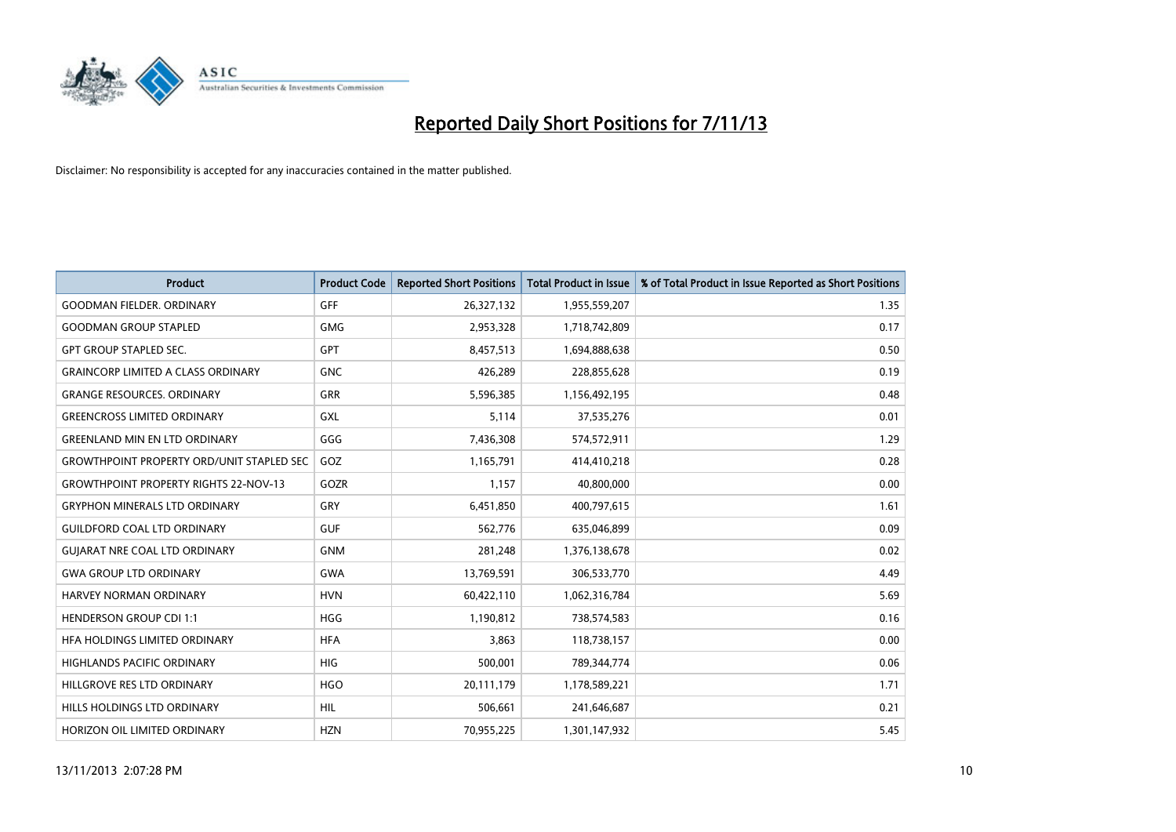

| <b>Product</b>                                   | <b>Product Code</b> | <b>Reported Short Positions</b> | <b>Total Product in Issue</b> | % of Total Product in Issue Reported as Short Positions |
|--------------------------------------------------|---------------------|---------------------------------|-------------------------------|---------------------------------------------------------|
| <b>GOODMAN FIELDER, ORDINARY</b>                 | GFF                 | 26,327,132                      | 1,955,559,207                 | 1.35                                                    |
| <b>GOODMAN GROUP STAPLED</b>                     | <b>GMG</b>          | 2,953,328                       | 1,718,742,809                 | 0.17                                                    |
| <b>GPT GROUP STAPLED SEC.</b>                    | GPT                 | 8,457,513                       | 1,694,888,638                 | 0.50                                                    |
| <b>GRAINCORP LIMITED A CLASS ORDINARY</b>        | <b>GNC</b>          | 426,289                         | 228,855,628                   | 0.19                                                    |
| <b>GRANGE RESOURCES, ORDINARY</b>                | GRR                 | 5,596,385                       | 1,156,492,195                 | 0.48                                                    |
| <b>GREENCROSS LIMITED ORDINARY</b>               | <b>GXL</b>          | 5,114                           | 37,535,276                    | 0.01                                                    |
| <b>GREENLAND MIN EN LTD ORDINARY</b>             | GGG                 | 7,436,308                       | 574,572,911                   | 1.29                                                    |
| <b>GROWTHPOINT PROPERTY ORD/UNIT STAPLED SEC</b> | GOZ                 | 1,165,791                       | 414,410,218                   | 0.28                                                    |
| <b>GROWTHPOINT PROPERTY RIGHTS 22-NOV-13</b>     | GOZR                | 1,157                           | 40,800,000                    | 0.00                                                    |
| <b>GRYPHON MINERALS LTD ORDINARY</b>             | GRY                 | 6,451,850                       | 400,797,615                   | 1.61                                                    |
| <b>GUILDFORD COAL LTD ORDINARY</b>               | <b>GUF</b>          | 562,776                         | 635,046,899                   | 0.09                                                    |
| <b>GUIARAT NRE COAL LTD ORDINARY</b>             | <b>GNM</b>          | 281,248                         | 1,376,138,678                 | 0.02                                                    |
| <b>GWA GROUP LTD ORDINARY</b>                    | <b>GWA</b>          | 13,769,591                      | 306,533,770                   | 4.49                                                    |
| HARVEY NORMAN ORDINARY                           | <b>HVN</b>          | 60,422,110                      | 1,062,316,784                 | 5.69                                                    |
| <b>HENDERSON GROUP CDI 1:1</b>                   | <b>HGG</b>          | 1,190,812                       | 738,574,583                   | 0.16                                                    |
| HFA HOLDINGS LIMITED ORDINARY                    | <b>HFA</b>          | 3,863                           | 118,738,157                   | 0.00                                                    |
| <b>HIGHLANDS PACIFIC ORDINARY</b>                | <b>HIG</b>          | 500,001                         | 789,344,774                   | 0.06                                                    |
| HILLGROVE RES LTD ORDINARY                       | <b>HGO</b>          | 20,111,179                      | 1,178,589,221                 | 1.71                                                    |
| HILLS HOLDINGS LTD ORDINARY                      | <b>HIL</b>          | 506,661                         | 241,646,687                   | 0.21                                                    |
| HORIZON OIL LIMITED ORDINARY                     | <b>HZN</b>          | 70,955,225                      | 1,301,147,932                 | 5.45                                                    |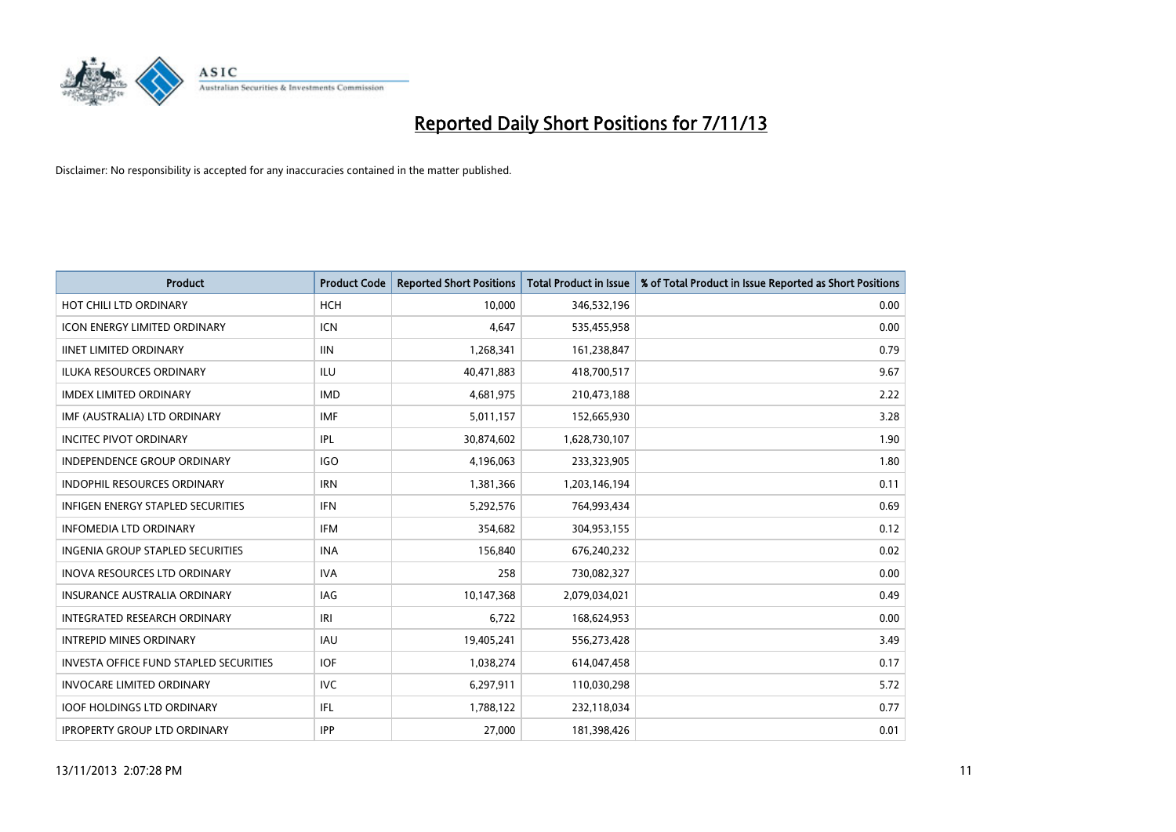

| <b>Product</b>                           | <b>Product Code</b> | <b>Reported Short Positions</b> | <b>Total Product in Issue</b> | % of Total Product in Issue Reported as Short Positions |
|------------------------------------------|---------------------|---------------------------------|-------------------------------|---------------------------------------------------------|
| HOT CHILI LTD ORDINARY                   | <b>HCH</b>          | 10,000                          | 346,532,196                   | 0.00                                                    |
| <b>ICON ENERGY LIMITED ORDINARY</b>      | ICN                 | 4,647                           | 535,455,958                   | 0.00                                                    |
| <b>IINET LIMITED ORDINARY</b>            | <b>IIN</b>          | 1,268,341                       | 161,238,847                   | 0.79                                                    |
| ILUKA RESOURCES ORDINARY                 | ILU                 | 40,471,883                      | 418,700,517                   | 9.67                                                    |
| <b>IMDEX LIMITED ORDINARY</b>            | <b>IMD</b>          | 4,681,975                       | 210,473,188                   | 2.22                                                    |
| IMF (AUSTRALIA) LTD ORDINARY             | <b>IMF</b>          | 5,011,157                       | 152,665,930                   | 3.28                                                    |
| <b>INCITEC PIVOT ORDINARY</b>            | IPL                 | 30,874,602                      | 1,628,730,107                 | 1.90                                                    |
| INDEPENDENCE GROUP ORDINARY              | <b>IGO</b>          | 4,196,063                       | 233,323,905                   | 1.80                                                    |
| <b>INDOPHIL RESOURCES ORDINARY</b>       | <b>IRN</b>          | 1,381,366                       | 1,203,146,194                 | 0.11                                                    |
| <b>INFIGEN ENERGY STAPLED SECURITIES</b> | <b>IFN</b>          | 5,292,576                       | 764,993,434                   | 0.69                                                    |
| <b>INFOMEDIA LTD ORDINARY</b>            | <b>IFM</b>          | 354,682                         | 304,953,155                   | 0.12                                                    |
| <b>INGENIA GROUP STAPLED SECURITIES</b>  | <b>INA</b>          | 156,840                         | 676,240,232                   | 0.02                                                    |
| <b>INOVA RESOURCES LTD ORDINARY</b>      | <b>IVA</b>          | 258                             | 730,082,327                   | 0.00                                                    |
| <b>INSURANCE AUSTRALIA ORDINARY</b>      | IAG                 | 10,147,368                      | 2,079,034,021                 | 0.49                                                    |
| INTEGRATED RESEARCH ORDINARY             | IRI                 | 6,722                           | 168,624,953                   | 0.00                                                    |
| <b>INTREPID MINES ORDINARY</b>           | <b>IAU</b>          | 19,405,241                      | 556,273,428                   | 3.49                                                    |
| INVESTA OFFICE FUND STAPLED SECURITIES   | <b>IOF</b>          | 1,038,274                       | 614,047,458                   | 0.17                                                    |
| <b>INVOCARE LIMITED ORDINARY</b>         | IVC                 | 6,297,911                       | 110,030,298                   | 5.72                                                    |
| <b>IOOF HOLDINGS LTD ORDINARY</b>        | IFL                 | 1,788,122                       | 232,118,034                   | 0.77                                                    |
| <b>IPROPERTY GROUP LTD ORDINARY</b>      | <b>IPP</b>          | 27,000                          | 181,398,426                   | 0.01                                                    |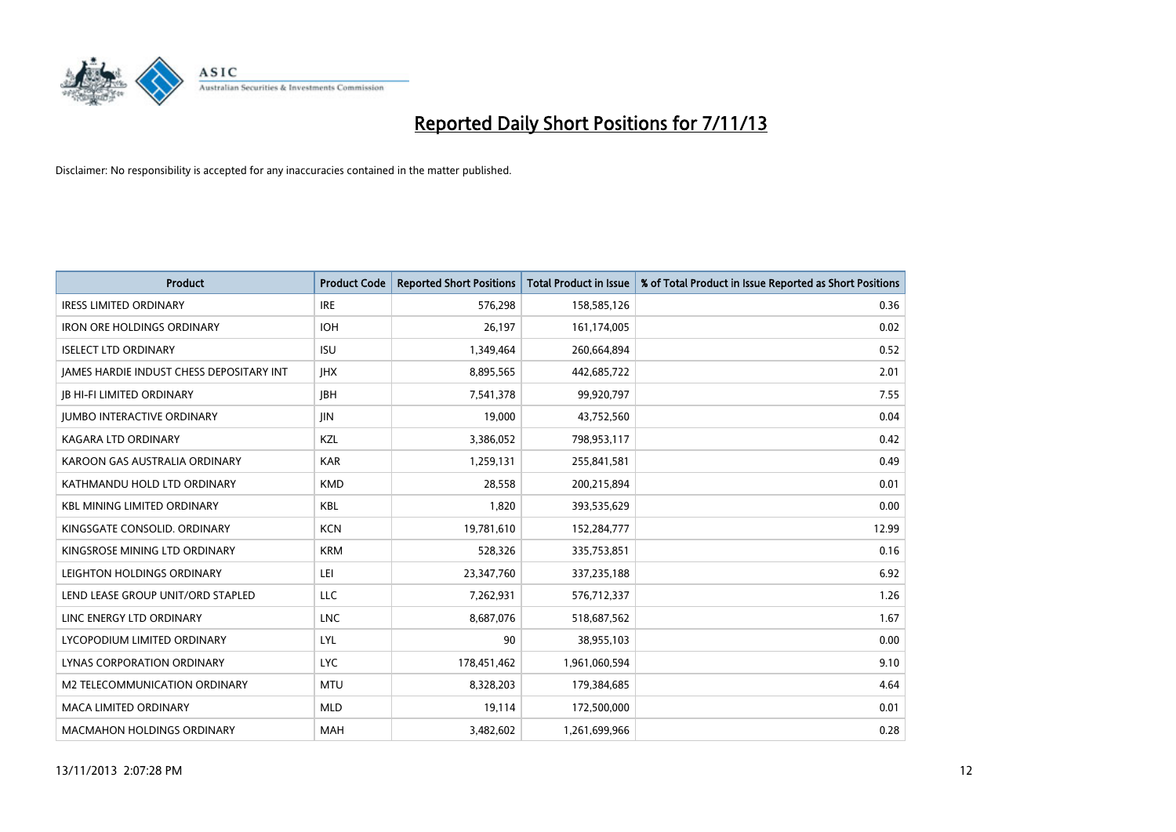

| <b>Product</b>                                  | <b>Product Code</b> | <b>Reported Short Positions</b> | <b>Total Product in Issue</b> | % of Total Product in Issue Reported as Short Positions |
|-------------------------------------------------|---------------------|---------------------------------|-------------------------------|---------------------------------------------------------|
| <b>IRESS LIMITED ORDINARY</b>                   | <b>IRE</b>          | 576,298                         | 158,585,126                   | 0.36                                                    |
| <b>IRON ORE HOLDINGS ORDINARY</b>               | <b>IOH</b>          | 26,197                          | 161,174,005                   | 0.02                                                    |
| <b>ISELECT LTD ORDINARY</b>                     | <b>ISU</b>          | 1,349,464                       | 260,664,894                   | 0.52                                                    |
| <b>JAMES HARDIE INDUST CHESS DEPOSITARY INT</b> | <b>IHX</b>          | 8,895,565                       | 442,685,722                   | 2.01                                                    |
| <b>IB HI-FI LIMITED ORDINARY</b>                | <b>IBH</b>          | 7,541,378                       | 99,920,797                    | 7.55                                                    |
| <b>JUMBO INTERACTIVE ORDINARY</b>               | <b>JIN</b>          | 19,000                          | 43,752,560                    | 0.04                                                    |
| <b>KAGARA LTD ORDINARY</b>                      | KZL                 | 3,386,052                       | 798,953,117                   | 0.42                                                    |
| KAROON GAS AUSTRALIA ORDINARY                   | <b>KAR</b>          | 1,259,131                       | 255,841,581                   | 0.49                                                    |
| KATHMANDU HOLD LTD ORDINARY                     | <b>KMD</b>          | 28,558                          | 200,215,894                   | 0.01                                                    |
| <b>KBL MINING LIMITED ORDINARY</b>              | <b>KBL</b>          | 1,820                           | 393,535,629                   | 0.00                                                    |
| KINGSGATE CONSOLID. ORDINARY                    | <b>KCN</b>          | 19,781,610                      | 152,284,777                   | 12.99                                                   |
| KINGSROSE MINING LTD ORDINARY                   | <b>KRM</b>          | 528,326                         | 335,753,851                   | 0.16                                                    |
| LEIGHTON HOLDINGS ORDINARY                      | LEI                 | 23,347,760                      | 337,235,188                   | 6.92                                                    |
| LEND LEASE GROUP UNIT/ORD STAPLED               | LLC                 | 7,262,931                       | 576,712,337                   | 1.26                                                    |
| LINC ENERGY LTD ORDINARY                        | <b>LNC</b>          | 8,687,076                       | 518,687,562                   | 1.67                                                    |
| LYCOPODIUM LIMITED ORDINARY                     | LYL                 | 90                              | 38,955,103                    | 0.00                                                    |
| LYNAS CORPORATION ORDINARY                      | <b>LYC</b>          | 178,451,462                     | 1,961,060,594                 | 9.10                                                    |
| M2 TELECOMMUNICATION ORDINARY                   | <b>MTU</b>          | 8,328,203                       | 179,384,685                   | 4.64                                                    |
| <b>MACA LIMITED ORDINARY</b>                    | <b>MLD</b>          | 19,114                          | 172,500,000                   | 0.01                                                    |
| <b>MACMAHON HOLDINGS ORDINARY</b>               | <b>MAH</b>          | 3,482,602                       | 1,261,699,966                 | 0.28                                                    |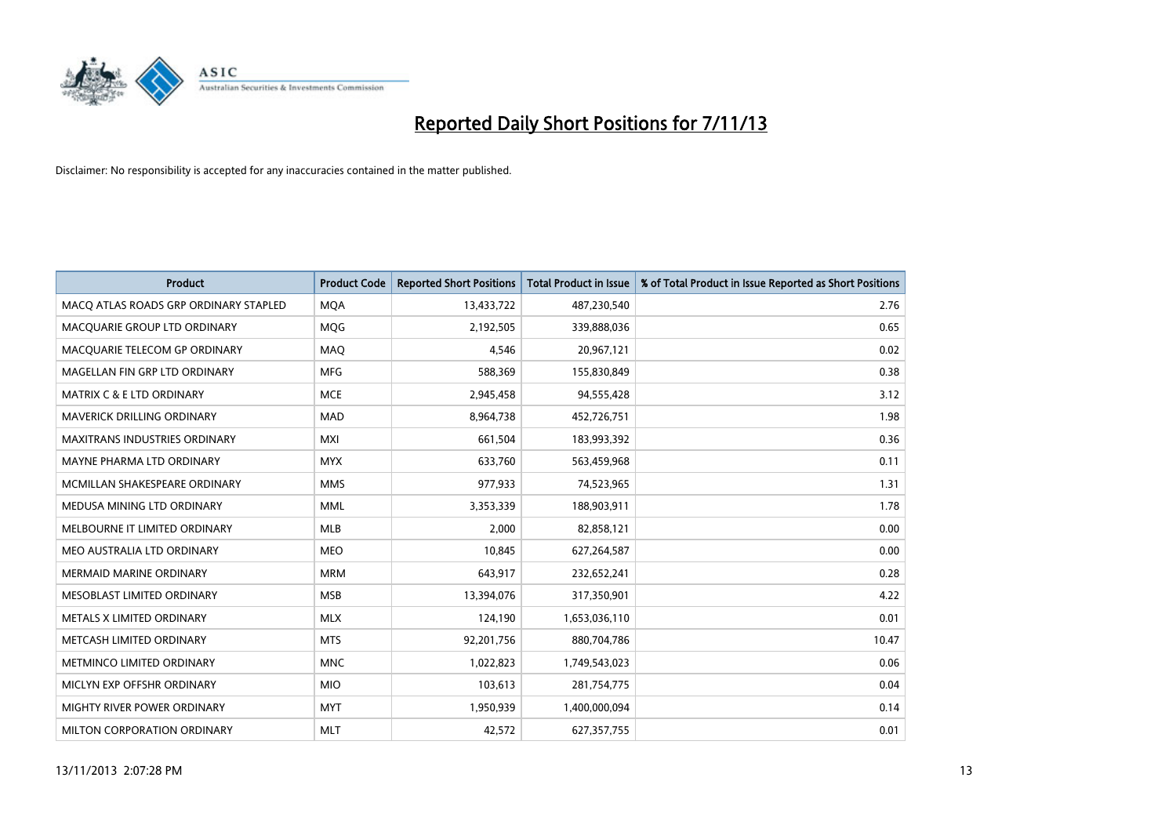

| <b>Product</b>                        | <b>Product Code</b> | <b>Reported Short Positions</b> | <b>Total Product in Issue</b> | % of Total Product in Issue Reported as Short Positions |
|---------------------------------------|---------------------|---------------------------------|-------------------------------|---------------------------------------------------------|
| MACO ATLAS ROADS GRP ORDINARY STAPLED | <b>MQA</b>          | 13,433,722                      | 487,230,540                   | 2.76                                                    |
| MACQUARIE GROUP LTD ORDINARY          | <b>MQG</b>          | 2,192,505                       | 339,888,036                   | 0.65                                                    |
| MACQUARIE TELECOM GP ORDINARY         | MAQ                 | 4,546                           | 20,967,121                    | 0.02                                                    |
| MAGELLAN FIN GRP LTD ORDINARY         | <b>MFG</b>          | 588,369                         | 155,830,849                   | 0.38                                                    |
| <b>MATRIX C &amp; E LTD ORDINARY</b>  | <b>MCE</b>          | 2,945,458                       | 94,555,428                    | 3.12                                                    |
| MAVERICK DRILLING ORDINARY            | <b>MAD</b>          | 8,964,738                       | 452,726,751                   | 1.98                                                    |
| MAXITRANS INDUSTRIES ORDINARY         | <b>MXI</b>          | 661,504                         | 183,993,392                   | 0.36                                                    |
| MAYNE PHARMA LTD ORDINARY             | <b>MYX</b>          | 633,760                         | 563,459,968                   | 0.11                                                    |
| MCMILLAN SHAKESPEARE ORDINARY         | <b>MMS</b>          | 977,933                         | 74,523,965                    | 1.31                                                    |
| MEDUSA MINING LTD ORDINARY            | <b>MML</b>          | 3,353,339                       | 188,903,911                   | 1.78                                                    |
| MELBOURNE IT LIMITED ORDINARY         | <b>MLB</b>          | 2,000                           | 82,858,121                    | 0.00                                                    |
| MEO AUSTRALIA LTD ORDINARY            | <b>MEO</b>          | 10,845                          | 627,264,587                   | 0.00                                                    |
| <b>MERMAID MARINE ORDINARY</b>        | <b>MRM</b>          | 643,917                         | 232,652,241                   | 0.28                                                    |
| MESOBLAST LIMITED ORDINARY            | <b>MSB</b>          | 13,394,076                      | 317,350,901                   | 4.22                                                    |
| METALS X LIMITED ORDINARY             | <b>MLX</b>          | 124,190                         | 1,653,036,110                 | 0.01                                                    |
| METCASH LIMITED ORDINARY              | <b>MTS</b>          | 92,201,756                      | 880,704,786                   | 10.47                                                   |
| METMINCO LIMITED ORDINARY             | <b>MNC</b>          | 1,022,823                       | 1,749,543,023                 | 0.06                                                    |
| MICLYN EXP OFFSHR ORDINARY            | <b>MIO</b>          | 103,613                         | 281,754,775                   | 0.04                                                    |
| MIGHTY RIVER POWER ORDINARY           | <b>MYT</b>          | 1,950,939                       | 1,400,000,094                 | 0.14                                                    |
| MILTON CORPORATION ORDINARY           | <b>MLT</b>          | 42,572                          | 627,357,755                   | 0.01                                                    |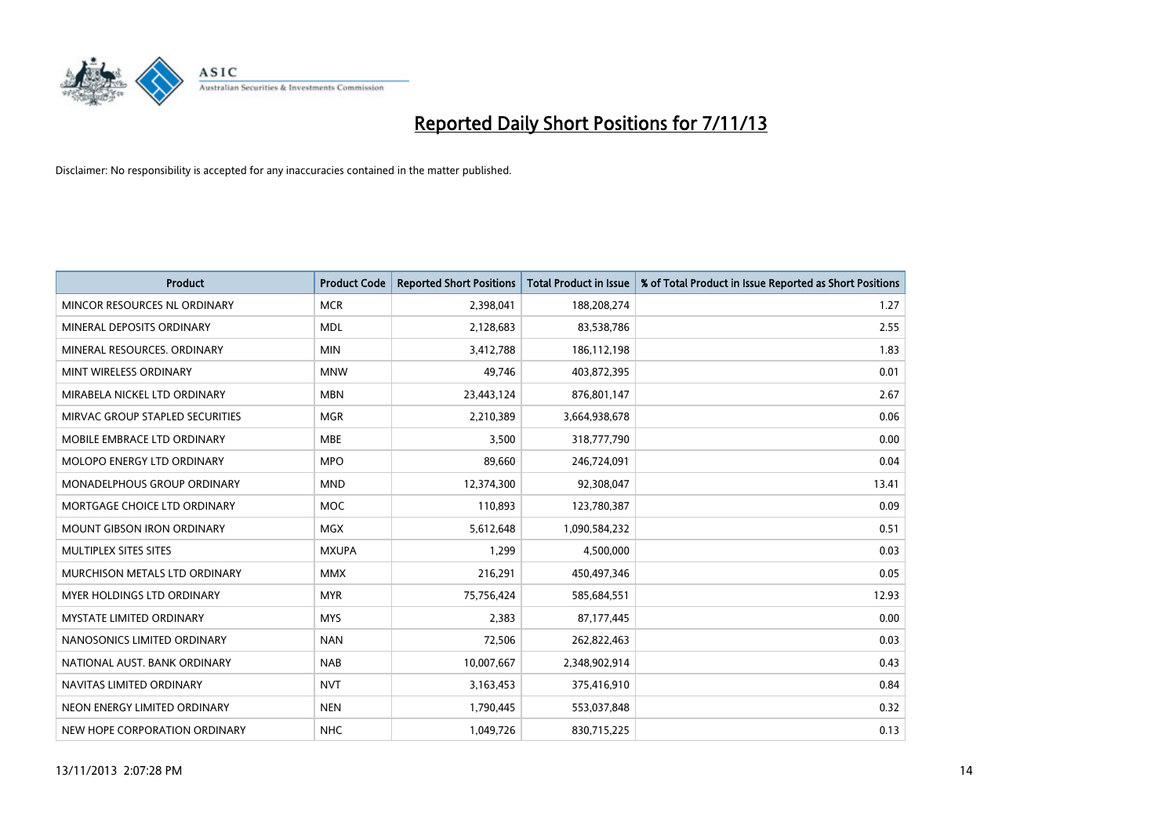

| <b>Product</b>                    | <b>Product Code</b> | <b>Reported Short Positions</b> | <b>Total Product in Issue</b> | % of Total Product in Issue Reported as Short Positions |
|-----------------------------------|---------------------|---------------------------------|-------------------------------|---------------------------------------------------------|
| MINCOR RESOURCES NL ORDINARY      | <b>MCR</b>          | 2,398,041                       | 188,208,274                   | 1.27                                                    |
| MINERAL DEPOSITS ORDINARY         | <b>MDL</b>          | 2,128,683                       | 83,538,786                    | 2.55                                                    |
| MINERAL RESOURCES, ORDINARY       | <b>MIN</b>          | 3,412,788                       | 186,112,198                   | 1.83                                                    |
| MINT WIRELESS ORDINARY            | <b>MNW</b>          | 49,746                          | 403,872,395                   | 0.01                                                    |
| MIRABELA NICKEL LTD ORDINARY      | <b>MBN</b>          | 23,443,124                      | 876,801,147                   | 2.67                                                    |
| MIRVAC GROUP STAPLED SECURITIES   | <b>MGR</b>          | 2,210,389                       | 3,664,938,678                 | 0.06                                                    |
| MOBILE EMBRACE LTD ORDINARY       | <b>MBE</b>          | 3,500                           | 318,777,790                   | 0.00                                                    |
| MOLOPO ENERGY LTD ORDINARY        | <b>MPO</b>          | 89,660                          | 246,724,091                   | 0.04                                                    |
| MONADELPHOUS GROUP ORDINARY       | <b>MND</b>          | 12,374,300                      | 92,308,047                    | 13.41                                                   |
| MORTGAGE CHOICE LTD ORDINARY      | <b>MOC</b>          | 110,893                         | 123,780,387                   | 0.09                                                    |
| <b>MOUNT GIBSON IRON ORDINARY</b> | <b>MGX</b>          | 5,612,648                       | 1,090,584,232                 | 0.51                                                    |
| <b>MULTIPLEX SITES SITES</b>      | <b>MXUPA</b>        | 1,299                           | 4,500,000                     | 0.03                                                    |
| MURCHISON METALS LTD ORDINARY     | <b>MMX</b>          | 216,291                         | 450,497,346                   | 0.05                                                    |
| <b>MYER HOLDINGS LTD ORDINARY</b> | <b>MYR</b>          | 75,756,424                      | 585,684,551                   | 12.93                                                   |
| <b>MYSTATE LIMITED ORDINARY</b>   | <b>MYS</b>          | 2,383                           | 87,177,445                    | 0.00                                                    |
| NANOSONICS LIMITED ORDINARY       | <b>NAN</b>          | 72,506                          | 262,822,463                   | 0.03                                                    |
| NATIONAL AUST. BANK ORDINARY      | <b>NAB</b>          | 10,007,667                      | 2,348,902,914                 | 0.43                                                    |
| NAVITAS LIMITED ORDINARY          | <b>NVT</b>          | 3,163,453                       | 375,416,910                   | 0.84                                                    |
| NEON ENERGY LIMITED ORDINARY      | <b>NEN</b>          | 1,790,445                       | 553,037,848                   | 0.32                                                    |
| NEW HOPE CORPORATION ORDINARY     | <b>NHC</b>          | 1,049,726                       | 830,715,225                   | 0.13                                                    |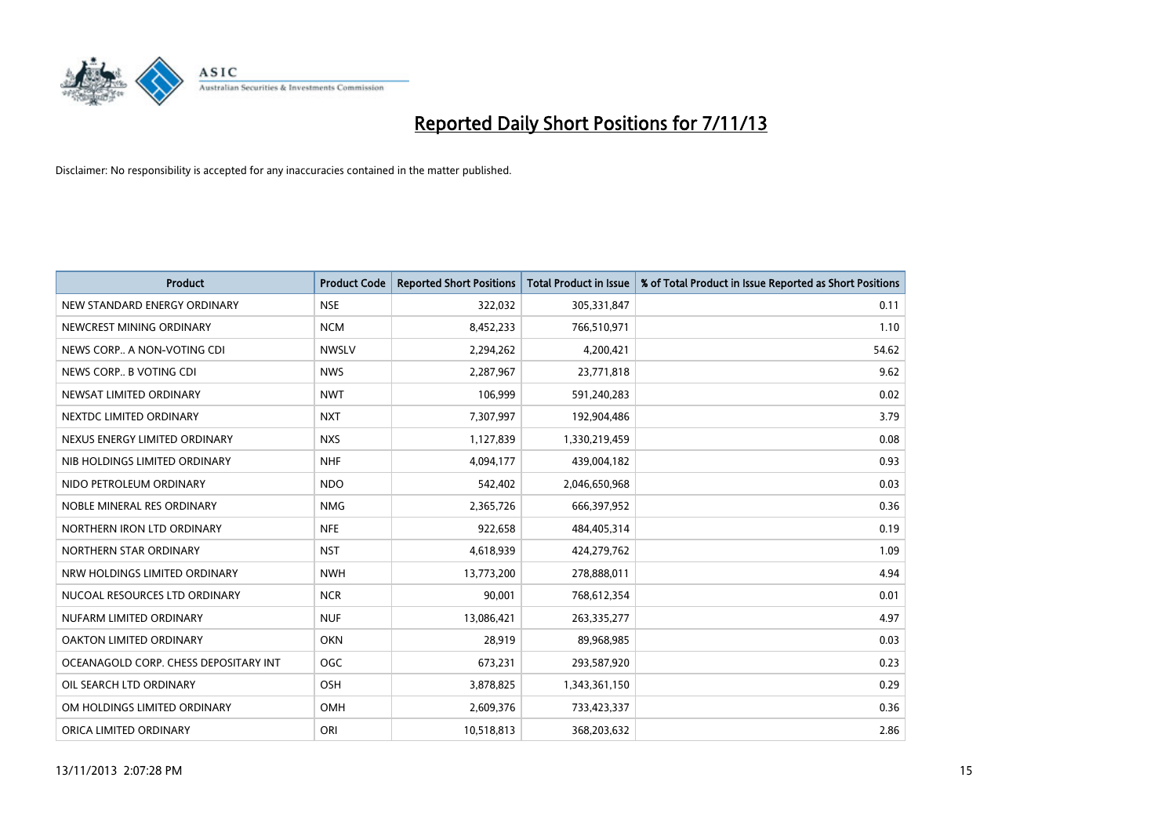

| <b>Product</b>                        | <b>Product Code</b> | <b>Reported Short Positions</b> | <b>Total Product in Issue</b> | % of Total Product in Issue Reported as Short Positions |
|---------------------------------------|---------------------|---------------------------------|-------------------------------|---------------------------------------------------------|
| NEW STANDARD ENERGY ORDINARY          | <b>NSE</b>          | 322,032                         | 305,331,847                   | 0.11                                                    |
| NEWCREST MINING ORDINARY              | <b>NCM</b>          | 8,452,233                       | 766,510,971                   | 1.10                                                    |
| NEWS CORP A NON-VOTING CDI            | <b>NWSLV</b>        | 2,294,262                       | 4,200,421                     | 54.62                                                   |
| NEWS CORP B VOTING CDI                | <b>NWS</b>          | 2,287,967                       | 23,771,818                    | 9.62                                                    |
| NEWSAT LIMITED ORDINARY               | <b>NWT</b>          | 106,999                         | 591,240,283                   | 0.02                                                    |
| NEXTDC LIMITED ORDINARY               | <b>NXT</b>          | 7,307,997                       | 192,904,486                   | 3.79                                                    |
| NEXUS ENERGY LIMITED ORDINARY         | <b>NXS</b>          | 1,127,839                       | 1,330,219,459                 | 0.08                                                    |
| NIB HOLDINGS LIMITED ORDINARY         | <b>NHF</b>          | 4,094,177                       | 439,004,182                   | 0.93                                                    |
| NIDO PETROLEUM ORDINARY               | <b>NDO</b>          | 542,402                         | 2,046,650,968                 | 0.03                                                    |
| NOBLE MINERAL RES ORDINARY            | <b>NMG</b>          | 2,365,726                       | 666,397,952                   | 0.36                                                    |
| NORTHERN IRON LTD ORDINARY            | <b>NFE</b>          | 922,658                         | 484,405,314                   | 0.19                                                    |
| NORTHERN STAR ORDINARY                | <b>NST</b>          | 4,618,939                       | 424,279,762                   | 1.09                                                    |
| NRW HOLDINGS LIMITED ORDINARY         | <b>NWH</b>          | 13,773,200                      | 278,888,011                   | 4.94                                                    |
| NUCOAL RESOURCES LTD ORDINARY         | <b>NCR</b>          | 90,001                          | 768,612,354                   | 0.01                                                    |
| NUFARM LIMITED ORDINARY               | <b>NUF</b>          | 13,086,421                      | 263,335,277                   | 4.97                                                    |
| OAKTON LIMITED ORDINARY               | <b>OKN</b>          | 28,919                          | 89,968,985                    | 0.03                                                    |
| OCEANAGOLD CORP. CHESS DEPOSITARY INT | <b>OGC</b>          | 673,231                         | 293,587,920                   | 0.23                                                    |
| OIL SEARCH LTD ORDINARY               | OSH                 | 3,878,825                       | 1,343,361,150                 | 0.29                                                    |
| OM HOLDINGS LIMITED ORDINARY          | OMH                 | 2,609,376                       | 733,423,337                   | 0.36                                                    |
| ORICA LIMITED ORDINARY                | ORI                 | 10,518,813                      | 368,203,632                   | 2.86                                                    |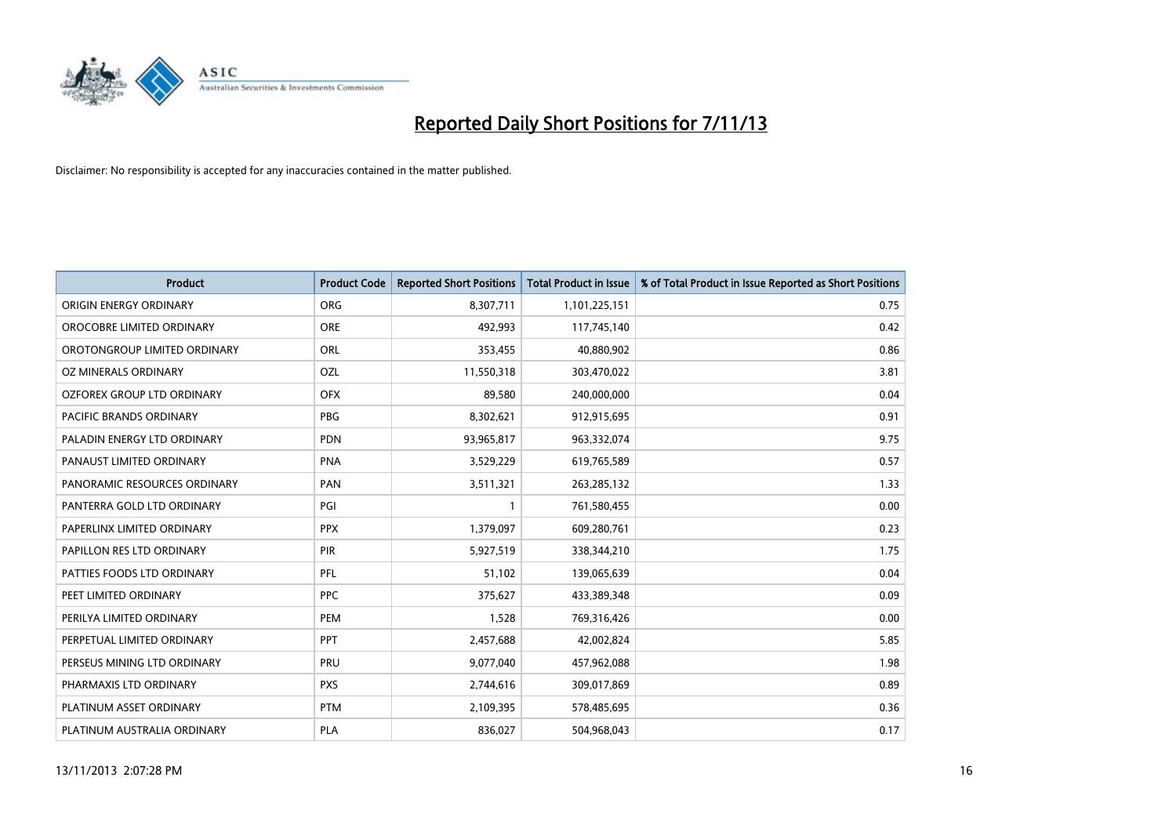

| <b>Product</b>                 | <b>Product Code</b> | <b>Reported Short Positions</b> | <b>Total Product in Issue</b> | % of Total Product in Issue Reported as Short Positions |
|--------------------------------|---------------------|---------------------------------|-------------------------------|---------------------------------------------------------|
| ORIGIN ENERGY ORDINARY         | <b>ORG</b>          | 8,307,711                       | 1,101,225,151                 | 0.75                                                    |
| OROCOBRE LIMITED ORDINARY      | <b>ORE</b>          | 492,993                         | 117,745,140                   | 0.42                                                    |
| OROTONGROUP LIMITED ORDINARY   | ORL                 | 353,455                         | 40,880,902                    | 0.86                                                    |
| OZ MINERALS ORDINARY           | OZL                 | 11,550,318                      | 303,470,022                   | 3.81                                                    |
| OZFOREX GROUP LTD ORDINARY     | <b>OFX</b>          | 89,580                          | 240,000,000                   | 0.04                                                    |
| <b>PACIFIC BRANDS ORDINARY</b> | <b>PBG</b>          | 8,302,621                       | 912,915,695                   | 0.91                                                    |
| PALADIN ENERGY LTD ORDINARY    | <b>PDN</b>          | 93,965,817                      | 963,332,074                   | 9.75                                                    |
| PANAUST LIMITED ORDINARY       | <b>PNA</b>          | 3,529,229                       | 619,765,589                   | 0.57                                                    |
| PANORAMIC RESOURCES ORDINARY   | PAN                 | 3,511,321                       | 263,285,132                   | 1.33                                                    |
| PANTERRA GOLD LTD ORDINARY     | PGI                 | $\mathbf{1}$                    | 761,580,455                   | 0.00                                                    |
| PAPERLINX LIMITED ORDINARY     | <b>PPX</b>          | 1,379,097                       | 609,280,761                   | 0.23                                                    |
| PAPILLON RES LTD ORDINARY      | PIR                 | 5,927,519                       | 338,344,210                   | 1.75                                                    |
| PATTIES FOODS LTD ORDINARY     | PFL                 | 51,102                          | 139,065,639                   | 0.04                                                    |
| PEET LIMITED ORDINARY          | <b>PPC</b>          | 375,627                         | 433,389,348                   | 0.09                                                    |
| PERILYA LIMITED ORDINARY       | PEM                 | 1,528                           | 769,316,426                   | 0.00                                                    |
| PERPETUAL LIMITED ORDINARY     | PPT                 | 2,457,688                       | 42,002,824                    | 5.85                                                    |
| PERSEUS MINING LTD ORDINARY    | PRU                 | 9,077,040                       | 457,962,088                   | 1.98                                                    |
| PHARMAXIS LTD ORDINARY         | <b>PXS</b>          | 2,744,616                       | 309,017,869                   | 0.89                                                    |
| PLATINUM ASSET ORDINARY        | <b>PTM</b>          | 2,109,395                       | 578,485,695                   | 0.36                                                    |
| PLATINUM AUSTRALIA ORDINARY    | <b>PLA</b>          | 836,027                         | 504,968,043                   | 0.17                                                    |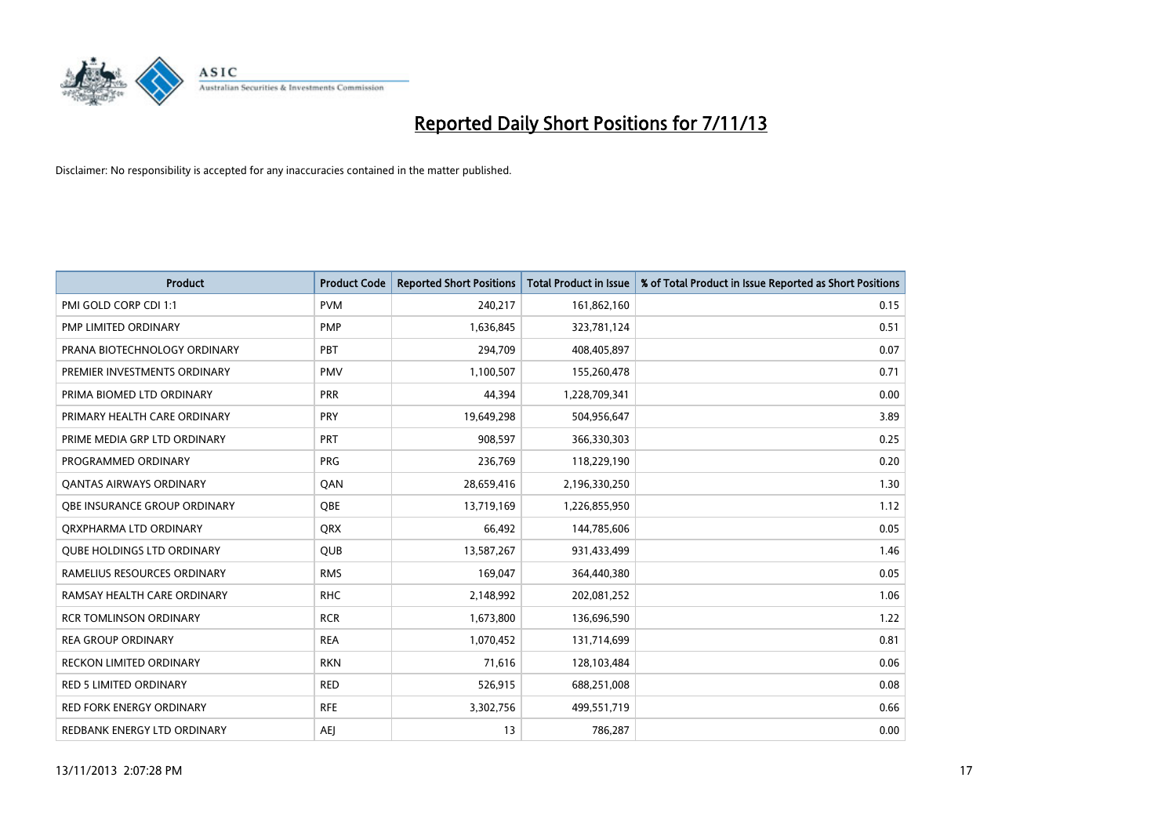

| <b>Product</b>                    | <b>Product Code</b> | <b>Reported Short Positions</b> | <b>Total Product in Issue</b> | % of Total Product in Issue Reported as Short Positions |
|-----------------------------------|---------------------|---------------------------------|-------------------------------|---------------------------------------------------------|
| PMI GOLD CORP CDI 1:1             | <b>PVM</b>          | 240,217                         | 161,862,160                   | 0.15                                                    |
| PMP LIMITED ORDINARY              | <b>PMP</b>          | 1,636,845                       | 323,781,124                   | 0.51                                                    |
| PRANA BIOTECHNOLOGY ORDINARY      | PBT                 | 294,709                         | 408,405,897                   | 0.07                                                    |
| PREMIER INVESTMENTS ORDINARY      | <b>PMV</b>          | 1,100,507                       | 155,260,478                   | 0.71                                                    |
| PRIMA BIOMED LTD ORDINARY         | <b>PRR</b>          | 44,394                          | 1,228,709,341                 | 0.00                                                    |
| PRIMARY HEALTH CARE ORDINARY      | PRY                 | 19,649,298                      | 504,956,647                   | 3.89                                                    |
| PRIME MEDIA GRP LTD ORDINARY      | <b>PRT</b>          | 908,597                         | 366,330,303                   | 0.25                                                    |
| PROGRAMMED ORDINARY               | <b>PRG</b>          | 236,769                         | 118,229,190                   | 0.20                                                    |
| <b>QANTAS AIRWAYS ORDINARY</b>    | QAN                 | 28,659,416                      | 2,196,330,250                 | 1.30                                                    |
| OBE INSURANCE GROUP ORDINARY      | <b>OBE</b>          | 13,719,169                      | 1,226,855,950                 | 1.12                                                    |
| ORXPHARMA LTD ORDINARY            | <b>QRX</b>          | 66,492                          | 144,785,606                   | 0.05                                                    |
| <b>QUBE HOLDINGS LTD ORDINARY</b> | QUB                 | 13,587,267                      | 931,433,499                   | 1.46                                                    |
| RAMELIUS RESOURCES ORDINARY       | <b>RMS</b>          | 169,047                         | 364,440,380                   | 0.05                                                    |
| RAMSAY HEALTH CARE ORDINARY       | <b>RHC</b>          | 2,148,992                       | 202,081,252                   | 1.06                                                    |
| <b>RCR TOMLINSON ORDINARY</b>     | <b>RCR</b>          | 1,673,800                       | 136,696,590                   | 1.22                                                    |
| <b>REA GROUP ORDINARY</b>         | <b>REA</b>          | 1,070,452                       | 131,714,699                   | 0.81                                                    |
| RECKON LIMITED ORDINARY           | <b>RKN</b>          | 71,616                          | 128,103,484                   | 0.06                                                    |
| RED 5 LIMITED ORDINARY            | <b>RED</b>          | 526,915                         | 688,251,008                   | 0.08                                                    |
| <b>RED FORK ENERGY ORDINARY</b>   | <b>RFE</b>          | 3,302,756                       | 499,551,719                   | 0.66                                                    |
| REDBANK ENERGY LTD ORDINARY       | <b>AEJ</b>          | 13                              | 786,287                       | 0.00                                                    |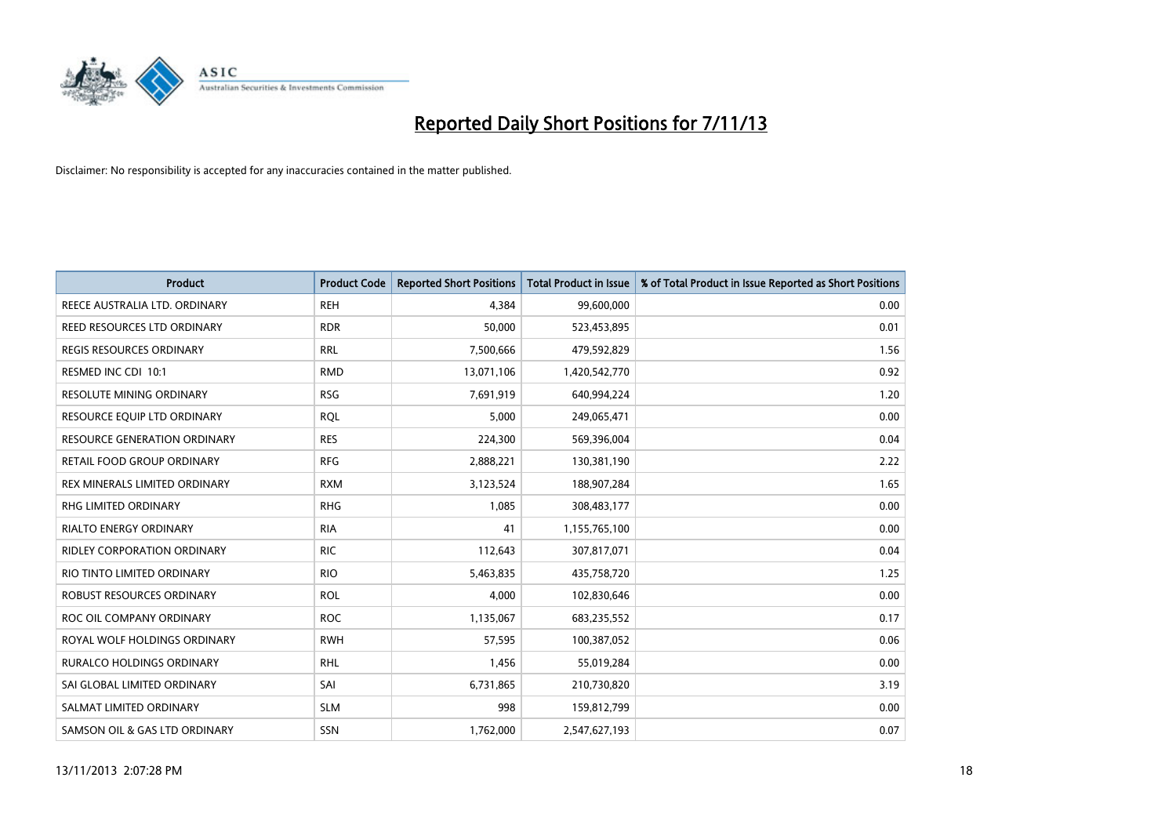

| <b>Product</b>                  | <b>Product Code</b> | <b>Reported Short Positions</b> | Total Product in Issue | % of Total Product in Issue Reported as Short Positions |
|---------------------------------|---------------------|---------------------------------|------------------------|---------------------------------------------------------|
| REECE AUSTRALIA LTD. ORDINARY   | <b>REH</b>          | 4.384                           | 99,600,000             | 0.00                                                    |
| REED RESOURCES LTD ORDINARY     | <b>RDR</b>          | 50,000                          | 523,453,895            | 0.01                                                    |
| <b>REGIS RESOURCES ORDINARY</b> | <b>RRL</b>          | 7,500,666                       | 479,592,829            | 1.56                                                    |
| RESMED INC CDI 10:1             | <b>RMD</b>          | 13,071,106                      | 1,420,542,770          | 0.92                                                    |
| <b>RESOLUTE MINING ORDINARY</b> | <b>RSG</b>          | 7,691,919                       | 640,994,224            | 1.20                                                    |
| RESOURCE EQUIP LTD ORDINARY     | <b>RQL</b>          | 5,000                           | 249,065,471            | 0.00                                                    |
| RESOURCE GENERATION ORDINARY    | <b>RES</b>          | 224,300                         | 569,396,004            | 0.04                                                    |
| RETAIL FOOD GROUP ORDINARY      | <b>RFG</b>          | 2,888,221                       | 130,381,190            | 2.22                                                    |
| REX MINERALS LIMITED ORDINARY   | <b>RXM</b>          | 3,123,524                       | 188,907,284            | 1.65                                                    |
| <b>RHG LIMITED ORDINARY</b>     | <b>RHG</b>          | 1,085                           | 308,483,177            | 0.00                                                    |
| <b>RIALTO ENERGY ORDINARY</b>   | <b>RIA</b>          | 41                              | 1,155,765,100          | 0.00                                                    |
| RIDLEY CORPORATION ORDINARY     | <b>RIC</b>          | 112,643                         | 307,817,071            | 0.04                                                    |
| RIO TINTO LIMITED ORDINARY      | <b>RIO</b>          | 5,463,835                       | 435,758,720            | 1.25                                                    |
| ROBUST RESOURCES ORDINARY       | <b>ROL</b>          | 4,000                           | 102,830,646            | 0.00                                                    |
| ROC OIL COMPANY ORDINARY        | <b>ROC</b>          | 1,135,067                       | 683,235,552            | 0.17                                                    |
| ROYAL WOLF HOLDINGS ORDINARY    | <b>RWH</b>          | 57,595                          | 100,387,052            | 0.06                                                    |
| RURALCO HOLDINGS ORDINARY       | RHL                 | 1,456                           | 55,019,284             | 0.00                                                    |
| SAI GLOBAL LIMITED ORDINARY     | SAI                 | 6,731,865                       | 210,730,820            | 3.19                                                    |
| SALMAT LIMITED ORDINARY         | <b>SLM</b>          | 998                             | 159,812,799            | 0.00                                                    |
| SAMSON OIL & GAS LTD ORDINARY   | SSN                 | 1,762,000                       | 2,547,627,193          | 0.07                                                    |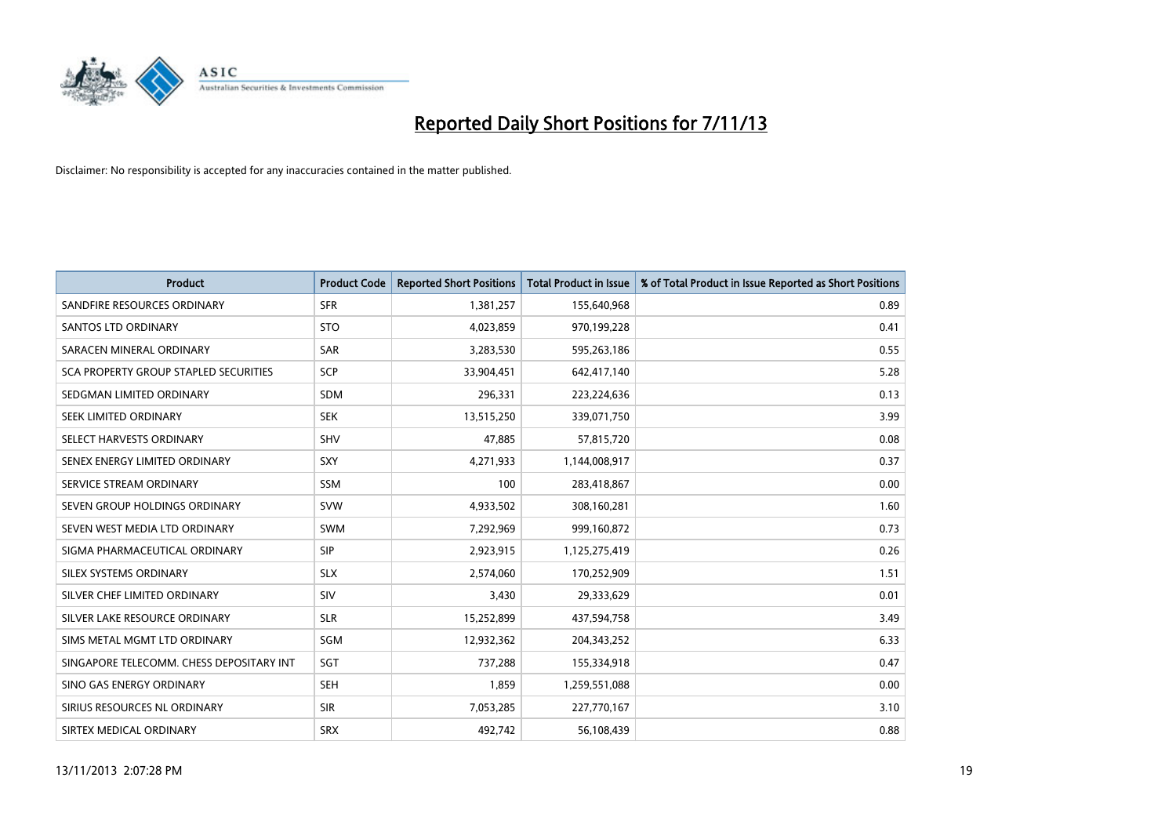

| <b>Product</b>                           | <b>Product Code</b> | <b>Reported Short Positions</b> | <b>Total Product in Issue</b> | % of Total Product in Issue Reported as Short Positions |
|------------------------------------------|---------------------|---------------------------------|-------------------------------|---------------------------------------------------------|
| SANDFIRE RESOURCES ORDINARY              | <b>SFR</b>          | 1,381,257                       | 155,640,968                   | 0.89                                                    |
| <b>SANTOS LTD ORDINARY</b>               | <b>STO</b>          | 4,023,859                       | 970,199,228                   | 0.41                                                    |
| SARACEN MINERAL ORDINARY                 | <b>SAR</b>          | 3,283,530                       | 595,263,186                   | 0.55                                                    |
| SCA PROPERTY GROUP STAPLED SECURITIES    | <b>SCP</b>          | 33,904,451                      | 642,417,140                   | 5.28                                                    |
| SEDGMAN LIMITED ORDINARY                 | <b>SDM</b>          | 296,331                         | 223,224,636                   | 0.13                                                    |
| SEEK LIMITED ORDINARY                    | <b>SEK</b>          | 13,515,250                      | 339,071,750                   | 3.99                                                    |
| SELECT HARVESTS ORDINARY                 | <b>SHV</b>          | 47,885                          | 57,815,720                    | 0.08                                                    |
| SENEX ENERGY LIMITED ORDINARY            | <b>SXY</b>          | 4,271,933                       | 1,144,008,917                 | 0.37                                                    |
| SERVICE STREAM ORDINARY                  | SSM                 | 100                             | 283,418,867                   | 0.00                                                    |
| SEVEN GROUP HOLDINGS ORDINARY            | <b>SVW</b>          | 4,933,502                       | 308,160,281                   | 1.60                                                    |
| SEVEN WEST MEDIA LTD ORDINARY            | SWM                 | 7,292,969                       | 999,160,872                   | 0.73                                                    |
| SIGMA PHARMACEUTICAL ORDINARY            | <b>SIP</b>          | 2,923,915                       | 1,125,275,419                 | 0.26                                                    |
| SILEX SYSTEMS ORDINARY                   | <b>SLX</b>          | 2,574,060                       | 170,252,909                   | 1.51                                                    |
| SILVER CHEF LIMITED ORDINARY             | SIV                 | 3,430                           | 29,333,629                    | 0.01                                                    |
| SILVER LAKE RESOURCE ORDINARY            | <b>SLR</b>          | 15,252,899                      | 437,594,758                   | 3.49                                                    |
| SIMS METAL MGMT LTD ORDINARY             | SGM                 | 12,932,362                      | 204,343,252                   | 6.33                                                    |
| SINGAPORE TELECOMM. CHESS DEPOSITARY INT | SGT                 | 737,288                         | 155,334,918                   | 0.47                                                    |
| SINO GAS ENERGY ORDINARY                 | <b>SEH</b>          | 1,859                           | 1,259,551,088                 | 0.00                                                    |
| SIRIUS RESOURCES NL ORDINARY             | <b>SIR</b>          | 7,053,285                       | 227,770,167                   | 3.10                                                    |
| SIRTEX MEDICAL ORDINARY                  | <b>SRX</b>          | 492,742                         | 56,108,439                    | 0.88                                                    |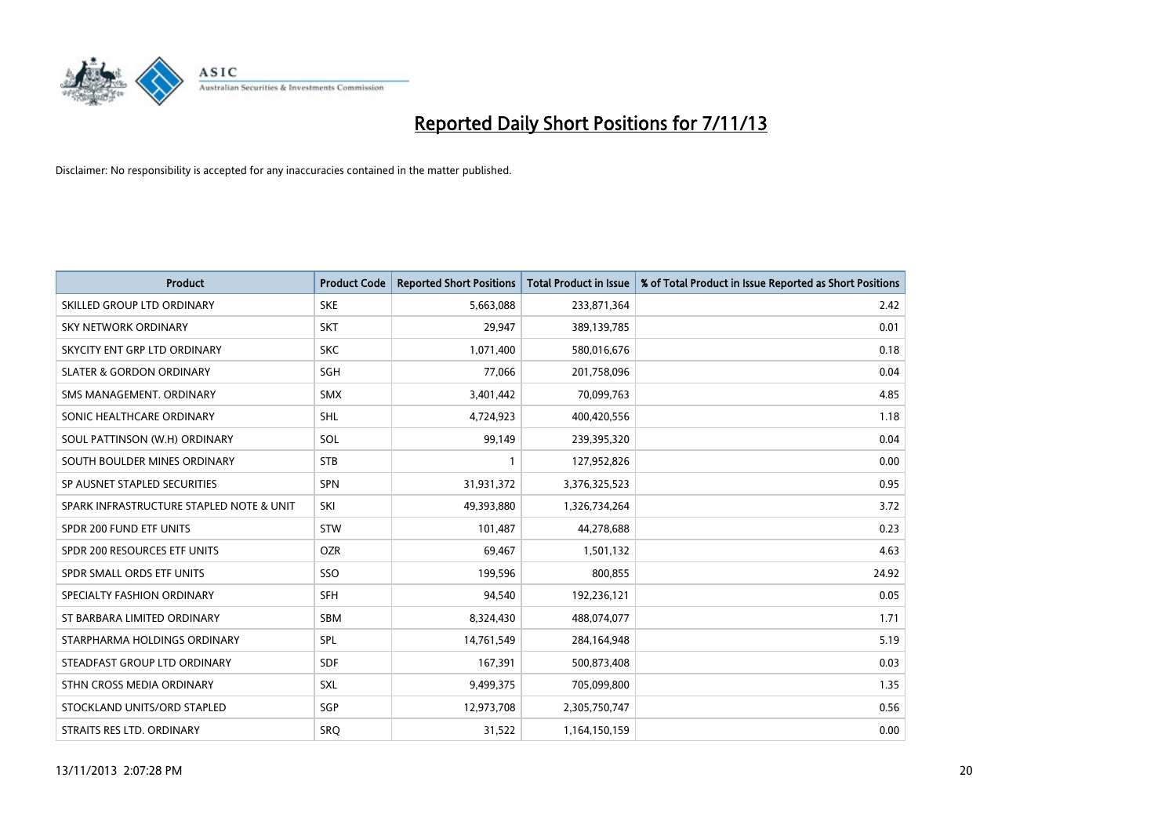

| <b>Product</b>                           | <b>Product Code</b> | <b>Reported Short Positions</b> | <b>Total Product in Issue</b> | % of Total Product in Issue Reported as Short Positions |
|------------------------------------------|---------------------|---------------------------------|-------------------------------|---------------------------------------------------------|
| SKILLED GROUP LTD ORDINARY               | <b>SKE</b>          | 5,663,088                       | 233,871,364                   | 2.42                                                    |
| SKY NETWORK ORDINARY                     | <b>SKT</b>          | 29,947                          | 389,139,785                   | 0.01                                                    |
| SKYCITY ENT GRP LTD ORDINARY             | <b>SKC</b>          | 1,071,400                       | 580,016,676                   | 0.18                                                    |
| <b>SLATER &amp; GORDON ORDINARY</b>      | SGH                 | 77,066                          | 201,758,096                   | 0.04                                                    |
| SMS MANAGEMENT, ORDINARY                 | <b>SMX</b>          | 3,401,442                       | 70,099,763                    | 4.85                                                    |
| SONIC HEALTHCARE ORDINARY                | SHL                 | 4,724,923                       | 400,420,556                   | 1.18                                                    |
| SOUL PATTINSON (W.H) ORDINARY            | SOL                 | 99,149                          | 239,395,320                   | 0.04                                                    |
| SOUTH BOULDER MINES ORDINARY             | <b>STB</b>          | $\mathbf{1}$                    | 127,952,826                   | 0.00                                                    |
| SP AUSNET STAPLED SECURITIES             | SPN                 | 31,931,372                      | 3,376,325,523                 | 0.95                                                    |
| SPARK INFRASTRUCTURE STAPLED NOTE & UNIT | SKI                 | 49,393,880                      | 1,326,734,264                 | 3.72                                                    |
| SPDR 200 FUND ETF UNITS                  | <b>STW</b>          | 101,487                         | 44,278,688                    | 0.23                                                    |
| SPDR 200 RESOURCES ETF UNITS             | <b>OZR</b>          | 69,467                          | 1,501,132                     | 4.63                                                    |
| SPDR SMALL ORDS ETF UNITS                | SSO                 | 199,596                         | 800,855                       | 24.92                                                   |
| SPECIALTY FASHION ORDINARY               | <b>SFH</b>          | 94,540                          | 192,236,121                   | 0.05                                                    |
| ST BARBARA LIMITED ORDINARY              | <b>SBM</b>          | 8,324,430                       | 488,074,077                   | 1.71                                                    |
| STARPHARMA HOLDINGS ORDINARY             | SPL                 | 14,761,549                      | 284,164,948                   | 5.19                                                    |
| STEADFAST GROUP LTD ORDINARY             | SDF                 | 167,391                         | 500,873,408                   | 0.03                                                    |
| STHN CROSS MEDIA ORDINARY                | <b>SXL</b>          | 9,499,375                       | 705,099,800                   | 1.35                                                    |
| STOCKLAND UNITS/ORD STAPLED              | SGP                 | 12,973,708                      | 2,305,750,747                 | 0.56                                                    |
| STRAITS RES LTD. ORDINARY                | <b>SRQ</b>          | 31,522                          | 1,164,150,159                 | 0.00                                                    |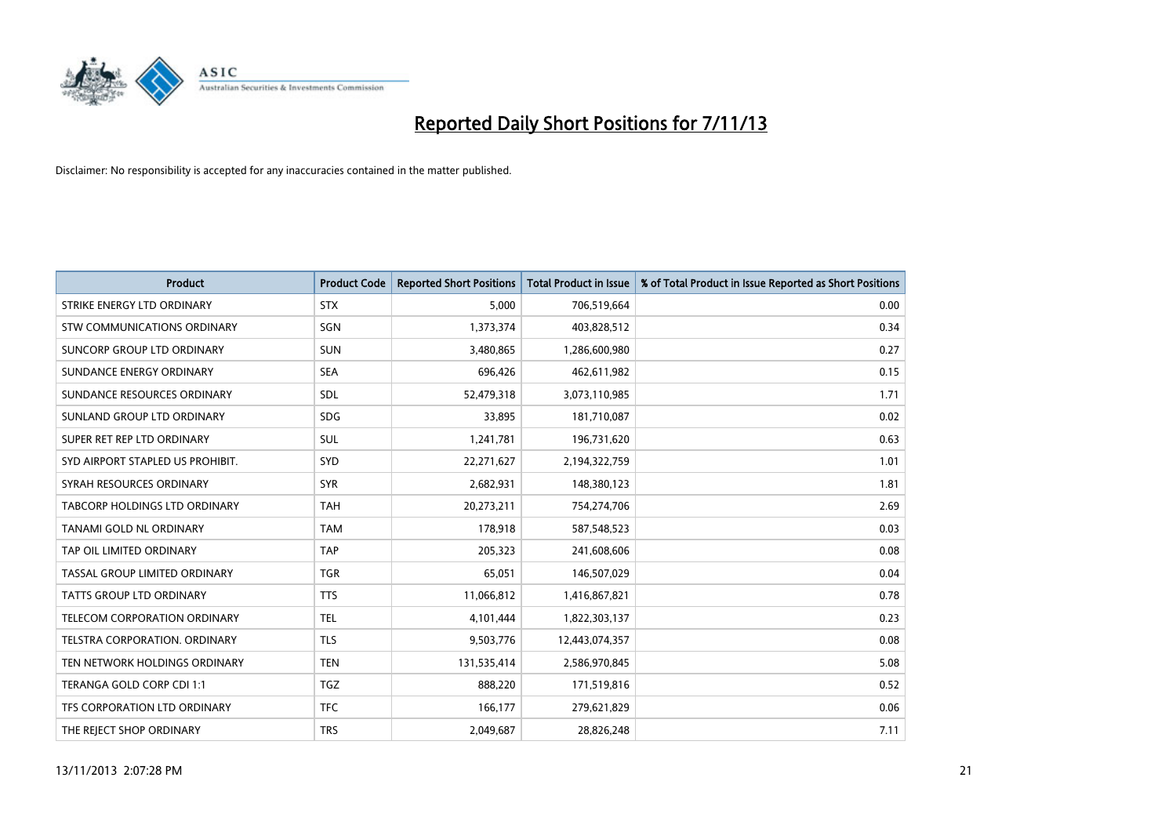

| <b>Product</b>                   | <b>Product Code</b> | <b>Reported Short Positions</b> | <b>Total Product in Issue</b> | % of Total Product in Issue Reported as Short Positions |
|----------------------------------|---------------------|---------------------------------|-------------------------------|---------------------------------------------------------|
| STRIKE ENERGY LTD ORDINARY       | <b>STX</b>          | 5,000                           | 706,519,664                   | 0.00                                                    |
| STW COMMUNICATIONS ORDINARY      | SGN                 | 1,373,374                       | 403,828,512                   | 0.34                                                    |
| SUNCORP GROUP LTD ORDINARY       | <b>SUN</b>          | 3,480,865                       | 1,286,600,980                 | 0.27                                                    |
| SUNDANCE ENERGY ORDINARY         | <b>SEA</b>          | 696,426                         | 462,611,982                   | 0.15                                                    |
| SUNDANCE RESOURCES ORDINARY      | SDL                 | 52,479,318                      | 3,073,110,985                 | 1.71                                                    |
| SUNLAND GROUP LTD ORDINARY       | <b>SDG</b>          | 33,895                          | 181,710,087                   | 0.02                                                    |
| SUPER RET REP LTD ORDINARY       | <b>SUL</b>          | 1,241,781                       | 196,731,620                   | 0.63                                                    |
| SYD AIRPORT STAPLED US PROHIBIT. | <b>SYD</b>          | 22,271,627                      | 2,194,322,759                 | 1.01                                                    |
| SYRAH RESOURCES ORDINARY         | <b>SYR</b>          | 2,682,931                       | 148,380,123                   | 1.81                                                    |
| TABCORP HOLDINGS LTD ORDINARY    | <b>TAH</b>          | 20,273,211                      | 754,274,706                   | 2.69                                                    |
| TANAMI GOLD NL ORDINARY          | <b>TAM</b>          | 178,918                         | 587,548,523                   | 0.03                                                    |
| TAP OIL LIMITED ORDINARY         | <b>TAP</b>          | 205,323                         | 241,608,606                   | 0.08                                                    |
| TASSAL GROUP LIMITED ORDINARY    | <b>TGR</b>          | 65,051                          | 146,507,029                   | 0.04                                                    |
| <b>TATTS GROUP LTD ORDINARY</b>  | <b>TTS</b>          | 11,066,812                      | 1,416,867,821                 | 0.78                                                    |
| TELECOM CORPORATION ORDINARY     | <b>TEL</b>          | 4,101,444                       | 1,822,303,137                 | 0.23                                                    |
| TELSTRA CORPORATION. ORDINARY    | <b>TLS</b>          | 9,503,776                       | 12,443,074,357                | 0.08                                                    |
| TEN NETWORK HOLDINGS ORDINARY    | <b>TEN</b>          | 131,535,414                     | 2,586,970,845                 | 5.08                                                    |
| TERANGA GOLD CORP CDI 1:1        | <b>TGZ</b>          | 888,220                         | 171,519,816                   | 0.52                                                    |
| TFS CORPORATION LTD ORDINARY     | <b>TFC</b>          | 166,177                         | 279,621,829                   | 0.06                                                    |
| THE REJECT SHOP ORDINARY         | <b>TRS</b>          | 2,049,687                       | 28,826,248                    | 7.11                                                    |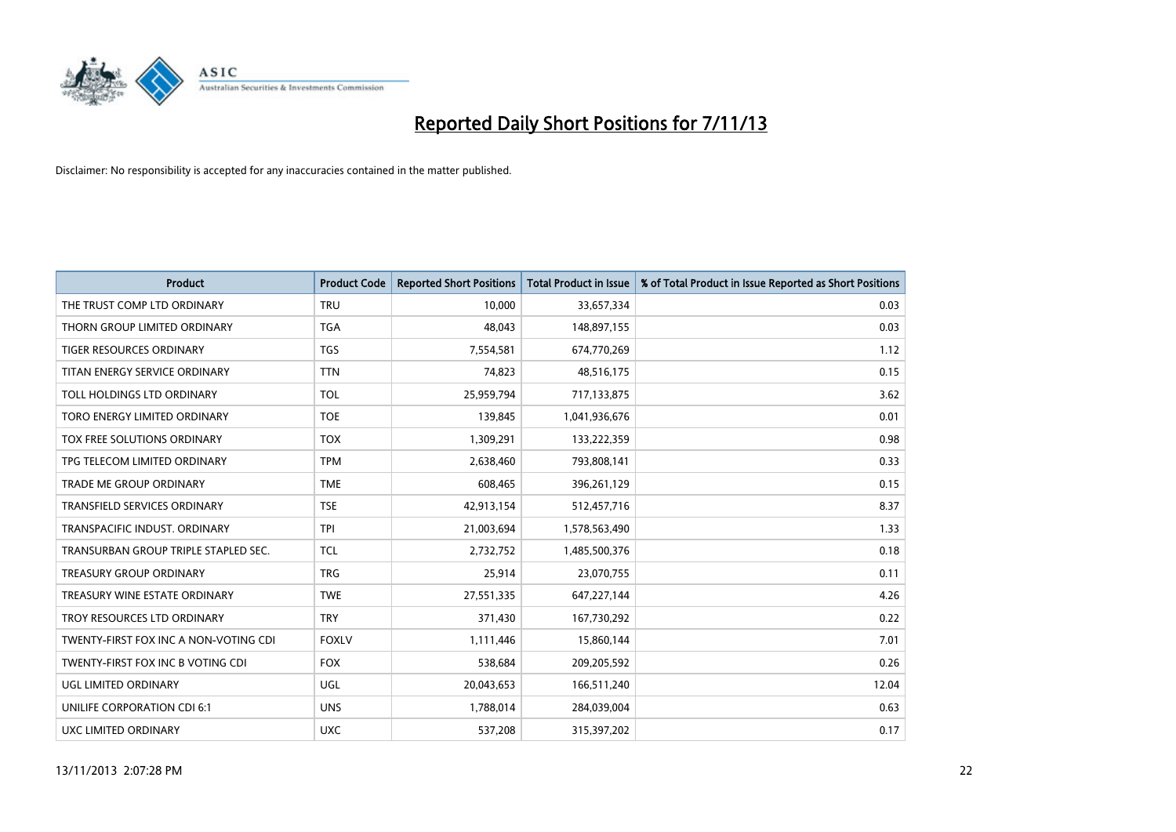

| <b>Product</b>                        | <b>Product Code</b> | <b>Reported Short Positions</b> | <b>Total Product in Issue</b> | % of Total Product in Issue Reported as Short Positions |
|---------------------------------------|---------------------|---------------------------------|-------------------------------|---------------------------------------------------------|
| THE TRUST COMP LTD ORDINARY           | <b>TRU</b>          | 10,000                          | 33,657,334                    | 0.03                                                    |
| THORN GROUP LIMITED ORDINARY          | TGA                 | 48,043                          | 148,897,155                   | 0.03                                                    |
| <b>TIGER RESOURCES ORDINARY</b>       | <b>TGS</b>          | 7,554,581                       | 674,770,269                   | 1.12                                                    |
| TITAN ENERGY SERVICE ORDINARY         | <b>TTN</b>          | 74,823                          | 48,516,175                    | 0.15                                                    |
| TOLL HOLDINGS LTD ORDINARY            | <b>TOL</b>          | 25,959,794                      | 717,133,875                   | 3.62                                                    |
| TORO ENERGY LIMITED ORDINARY          | <b>TOE</b>          | 139,845                         | 1,041,936,676                 | 0.01                                                    |
| TOX FREE SOLUTIONS ORDINARY           | <b>TOX</b>          | 1,309,291                       | 133,222,359                   | 0.98                                                    |
| TPG TELECOM LIMITED ORDINARY          | <b>TPM</b>          | 2,638,460                       | 793,808,141                   | 0.33                                                    |
| <b>TRADE ME GROUP ORDINARY</b>        | <b>TME</b>          | 608,465                         | 396,261,129                   | 0.15                                                    |
| <b>TRANSFIELD SERVICES ORDINARY</b>   | <b>TSE</b>          | 42,913,154                      | 512,457,716                   | 8.37                                                    |
| TRANSPACIFIC INDUST. ORDINARY         | <b>TPI</b>          | 21,003,694                      | 1,578,563,490                 | 1.33                                                    |
| TRANSURBAN GROUP TRIPLE STAPLED SEC.  | TCL                 | 2,732,752                       | 1,485,500,376                 | 0.18                                                    |
| TREASURY GROUP ORDINARY               | <b>TRG</b>          | 25,914                          | 23,070,755                    | 0.11                                                    |
| TREASURY WINE ESTATE ORDINARY         | <b>TWE</b>          | 27,551,335                      | 647,227,144                   | 4.26                                                    |
| TROY RESOURCES LTD ORDINARY           | <b>TRY</b>          | 371,430                         | 167,730,292                   | 0.22                                                    |
| TWENTY-FIRST FOX INC A NON-VOTING CDI | <b>FOXLV</b>        | 1,111,446                       | 15,860,144                    | 7.01                                                    |
| TWENTY-FIRST FOX INC B VOTING CDI     | <b>FOX</b>          | 538,684                         | 209,205,592                   | 0.26                                                    |
| UGL LIMITED ORDINARY                  | UGL                 | 20,043,653                      | 166,511,240                   | 12.04                                                   |
| UNILIFE CORPORATION CDI 6:1           | <b>UNS</b>          | 1,788,014                       | 284,039,004                   | 0.63                                                    |
| UXC LIMITED ORDINARY                  | <b>UXC</b>          | 537,208                         | 315,397,202                   | 0.17                                                    |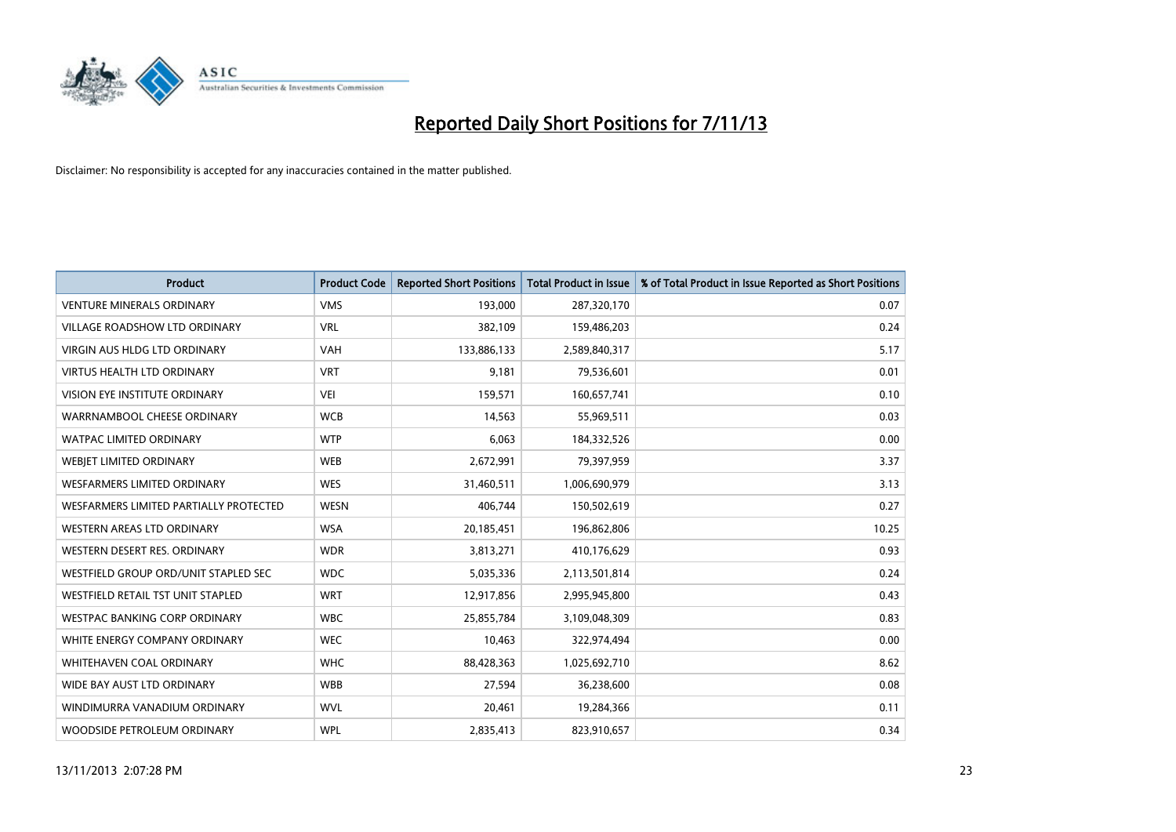

| <b>Product</b>                         | <b>Product Code</b> | <b>Reported Short Positions</b> | <b>Total Product in Issue</b> | % of Total Product in Issue Reported as Short Positions |
|----------------------------------------|---------------------|---------------------------------|-------------------------------|---------------------------------------------------------|
| <b>VENTURE MINERALS ORDINARY</b>       | <b>VMS</b>          | 193,000                         | 287,320,170                   | 0.07                                                    |
| VILLAGE ROADSHOW LTD ORDINARY          | <b>VRL</b>          | 382,109                         | 159,486,203                   | 0.24                                                    |
| <b>VIRGIN AUS HLDG LTD ORDINARY</b>    | <b>VAH</b>          | 133,886,133                     | 2,589,840,317                 | 5.17                                                    |
| <b>VIRTUS HEALTH LTD ORDINARY</b>      | <b>VRT</b>          | 9,181                           | 79,536,601                    | 0.01                                                    |
| <b>VISION EYE INSTITUTE ORDINARY</b>   | <b>VEI</b>          | 159,571                         | 160,657,741                   | 0.10                                                    |
| WARRNAMBOOL CHEESE ORDINARY            | <b>WCB</b>          | 14,563                          | 55,969,511                    | 0.03                                                    |
| WATPAC LIMITED ORDINARY                | <b>WTP</b>          | 6,063                           | 184,332,526                   | 0.00                                                    |
| WEBJET LIMITED ORDINARY                | <b>WEB</b>          | 2,672,991                       | 79,397,959                    | 3.37                                                    |
| <b>WESFARMERS LIMITED ORDINARY</b>     | <b>WES</b>          | 31,460,511                      | 1,006,690,979                 | 3.13                                                    |
| WESFARMERS LIMITED PARTIALLY PROTECTED | <b>WESN</b>         | 406,744                         | 150,502,619                   | 0.27                                                    |
| WESTERN AREAS LTD ORDINARY             | <b>WSA</b>          | 20,185,451                      | 196,862,806                   | 10.25                                                   |
| WESTERN DESERT RES. ORDINARY           | <b>WDR</b>          | 3,813,271                       | 410,176,629                   | 0.93                                                    |
| WESTFIELD GROUP ORD/UNIT STAPLED SEC   | <b>WDC</b>          | 5,035,336                       | 2,113,501,814                 | 0.24                                                    |
| WESTFIELD RETAIL TST UNIT STAPLED      | <b>WRT</b>          | 12,917,856                      | 2,995,945,800                 | 0.43                                                    |
| WESTPAC BANKING CORP ORDINARY          | <b>WBC</b>          | 25,855,784                      | 3,109,048,309                 | 0.83                                                    |
| WHITE ENERGY COMPANY ORDINARY          | <b>WEC</b>          | 10,463                          | 322,974,494                   | 0.00                                                    |
| WHITEHAVEN COAL ORDINARY               | <b>WHC</b>          | 88,428,363                      | 1,025,692,710                 | 8.62                                                    |
| WIDE BAY AUST LTD ORDINARY             | <b>WBB</b>          | 27,594                          | 36,238,600                    | 0.08                                                    |
| WINDIMURRA VANADIUM ORDINARY           | <b>WVL</b>          | 20,461                          | 19,284,366                    | 0.11                                                    |
| WOODSIDE PETROLEUM ORDINARY            | <b>WPL</b>          | 2,835,413                       | 823,910,657                   | 0.34                                                    |